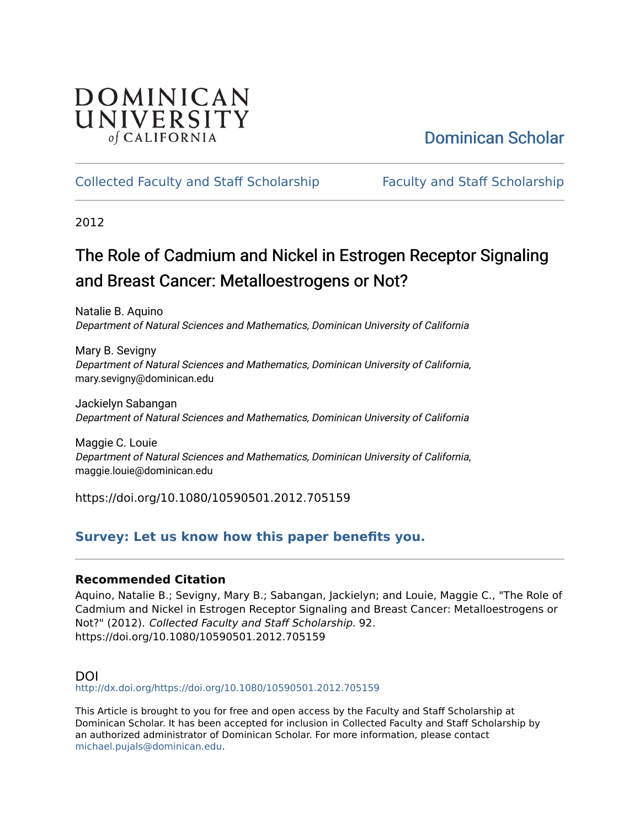# DOMINICAN UNIVERSITY of CALIFORNIA

# [Dominican Scholar](https://scholar.dominican.edu/)

# [Collected Faculty and Staff Scholarship](https://scholar.dominican.edu/all-faculty) [Faculty and Staff Scholarship](https://scholar.dominican.edu/faculty-scholarship)

2012

# The Role of Cadmium and Nickel in Estrogen Receptor Signaling and Breast Cancer: Metalloestrogens or Not?

Natalie B. Aquino Department of Natural Sciences and Mathematics, Dominican University of California

Mary B. Sevigny Department of Natural Sciences and Mathematics, Dominican University of California, mary.sevigny@dominican.edu

Jackielyn Sabangan Department of Natural Sciences and Mathematics, Dominican University of California

Maggie C. Louie Department of Natural Sciences and Mathematics, Dominican University of California, maggie.louie@dominican.edu

https://doi.org/10.1080/10590501.2012.705159

# **[Survey: Let us know how this paper benefits you.](https://dominican.libwizard.com/dominican-scholar-feedback)**

#### **Recommended Citation**

Aquino, Natalie B.; Sevigny, Mary B.; Sabangan, Jackielyn; and Louie, Maggie C., "The Role of Cadmium and Nickel in Estrogen Receptor Signaling and Breast Cancer: Metalloestrogens or Not?" (2012). Collected Faculty and Staff Scholarship. 92. https://doi.org/10.1080/10590501.2012.705159

#### DOI

<http://dx.doi.org/https://doi.org/10.1080/10590501.2012.705159>

This Article is brought to you for free and open access by the Faculty and Staff Scholarship at Dominican Scholar. It has been accepted for inclusion in Collected Faculty and Staff Scholarship by an authorized administrator of Dominican Scholar. For more information, please contact [michael.pujals@dominican.edu.](mailto:michael.pujals@dominican.edu)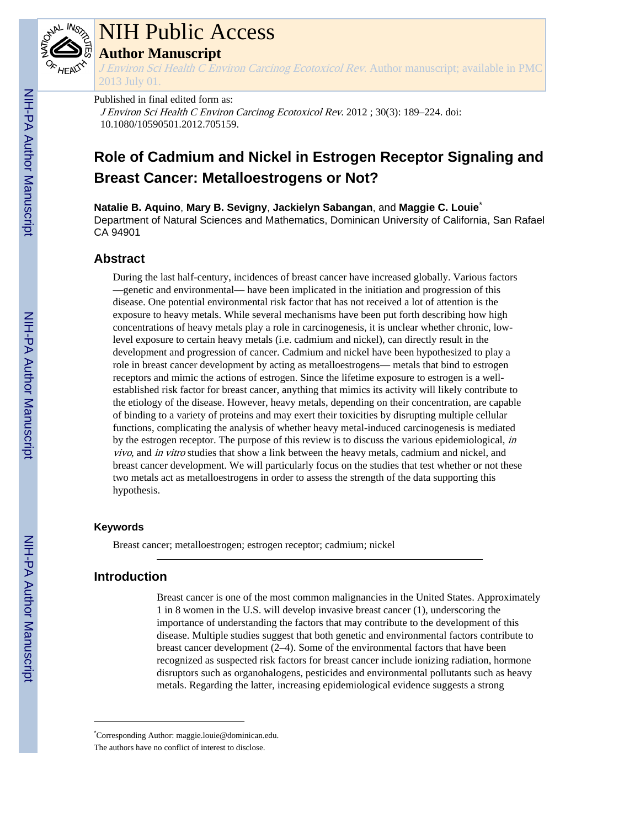

# NIH Public Access

**Author Manuscript**

J Environ Sci Health C Environ Carcinog Ecotoxicol Rev. Author manuscript; available in PMC 2013 July 01.

#### Published in final edited form as:

J Environ Sci Health C Environ Carcinog Ecotoxicol Rev. 2012 ; 30(3): 189–224. doi: 10.1080/10590501.2012.705159.

# **Role of Cadmium and Nickel in Estrogen Receptor Signaling and Breast Cancer: Metalloestrogens or Not?**

**Natalie B. Aquino**, **Mary B. Sevigny**, **Jackielyn Sabangan**, and **Maggie C. Louie**\*

Department of Natural Sciences and Mathematics, Dominican University of California, San Rafael CA 94901

#### **Abstract**

During the last half-century, incidences of breast cancer have increased globally. Various factors —genetic and environmental— have been implicated in the initiation and progression of this disease. One potential environmental risk factor that has not received a lot of attention is the exposure to heavy metals. While several mechanisms have been put forth describing how high concentrations of heavy metals play a role in carcinogenesis, it is unclear whether chronic, lowlevel exposure to certain heavy metals (i.e. cadmium and nickel), can directly result in the development and progression of cancer. Cadmium and nickel have been hypothesized to play a role in breast cancer development by acting as metalloestrogens— metals that bind to estrogen receptors and mimic the actions of estrogen. Since the lifetime exposure to estrogen is a wellestablished risk factor for breast cancer, anything that mimics its activity will likely contribute to the etiology of the disease. However, heavy metals, depending on their concentration, are capable of binding to a variety of proteins and may exert their toxicities by disrupting multiple cellular functions, complicating the analysis of whether heavy metal-induced carcinogenesis is mediated by the estrogen receptor. The purpose of this review is to discuss the various epidemiological, in vivo, and in vitro studies that show a link between the heavy metals, cadmium and nickel, and breast cancer development. We will particularly focus on the studies that test whether or not these two metals act as metalloestrogens in order to assess the strength of the data supporting this hypothesis.

#### **Keywords**

Breast cancer; metalloestrogen; estrogen receptor; cadmium; nickel

#### **Introduction**

Breast cancer is one of the most common malignancies in the United States. Approximately 1 in 8 women in the U.S. will develop invasive breast cancer (1), underscoring the importance of understanding the factors that may contribute to the development of this disease. Multiple studies suggest that both genetic and environmental factors contribute to breast cancer development (2–4). Some of the environmental factors that have been recognized as suspected risk factors for breast cancer include ionizing radiation, hormone disruptors such as organohalogens, pesticides and environmental pollutants such as heavy metals. Regarding the latter, increasing epidemiological evidence suggests a strong

<sup>\*</sup>Corresponding Author: maggie.louie@dominican.edu.

The authors have no conflict of interest to disclose.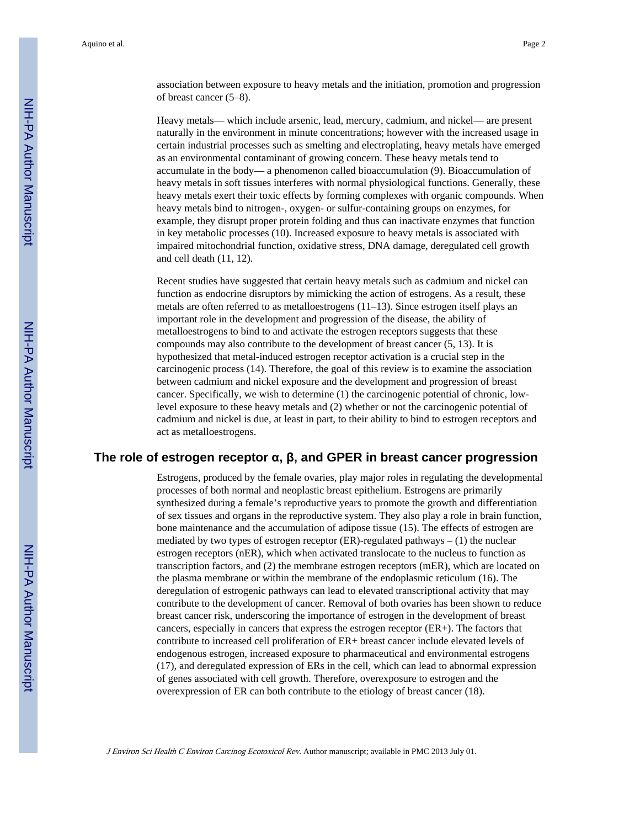association between exposure to heavy metals and the initiation, promotion and progression of breast cancer (5–8).

Heavy metals— which include arsenic, lead, mercury, cadmium, and nickel— are present naturally in the environment in minute concentrations; however with the increased usage in certain industrial processes such as smelting and electroplating, heavy metals have emerged as an environmental contaminant of growing concern. These heavy metals tend to accumulate in the body— a phenomenon called bioaccumulation (9). Bioaccumulation of heavy metals in soft tissues interferes with normal physiological functions. Generally, these heavy metals exert their toxic effects by forming complexes with organic compounds. When heavy metals bind to nitrogen-, oxygen- or sulfur-containing groups on enzymes, for example, they disrupt proper protein folding and thus can inactivate enzymes that function in key metabolic processes (10). Increased exposure to heavy metals is associated with impaired mitochondrial function, oxidative stress, DNA damage, deregulated cell growth and cell death (11, 12).

Recent studies have suggested that certain heavy metals such as cadmium and nickel can function as endocrine disruptors by mimicking the action of estrogens. As a result, these metals are often referred to as metalloestrogens  $(11-13)$ . Since estrogen itself plays an important role in the development and progression of the disease, the ability of metalloestrogens to bind to and activate the estrogen receptors suggests that these compounds may also contribute to the development of breast cancer (5, 13). It is hypothesized that metal-induced estrogen receptor activation is a crucial step in the carcinogenic process (14). Therefore, the goal of this review is to examine the association between cadmium and nickel exposure and the development and progression of breast cancer. Specifically, we wish to determine (1) the carcinogenic potential of chronic, lowlevel exposure to these heavy metals and (2) whether or not the carcinogenic potential of cadmium and nickel is due, at least in part, to their ability to bind to estrogen receptors and act as metalloestrogens.

#### **The role of estrogen receptor α, β, and GPER in breast cancer progression**

Estrogens, produced by the female ovaries, play major roles in regulating the developmental processes of both normal and neoplastic breast epithelium. Estrogens are primarily synthesized during a female's reproductive years to promote the growth and differentiation of sex tissues and organs in the reproductive system. They also play a role in brain function, bone maintenance and the accumulation of adipose tissue (15). The effects of estrogen are mediated by two types of estrogen receptor  $(ER)$ -regulated pathways  $- (1)$  the nuclear estrogen receptors (nER), which when activated translocate to the nucleus to function as transcription factors, and (2) the membrane estrogen receptors (mER), which are located on the plasma membrane or within the membrane of the endoplasmic reticulum (16). The deregulation of estrogenic pathways can lead to elevated transcriptional activity that may contribute to the development of cancer. Removal of both ovaries has been shown to reduce breast cancer risk, underscoring the importance of estrogen in the development of breast cancers, especially in cancers that express the estrogen receptor (ER+). The factors that contribute to increased cell proliferation of ER+ breast cancer include elevated levels of endogenous estrogen, increased exposure to pharmaceutical and environmental estrogens (17), and deregulated expression of ERs in the cell, which can lead to abnormal expression of genes associated with cell growth. Therefore, overexposure to estrogen and the overexpression of ER can both contribute to the etiology of breast cancer (18).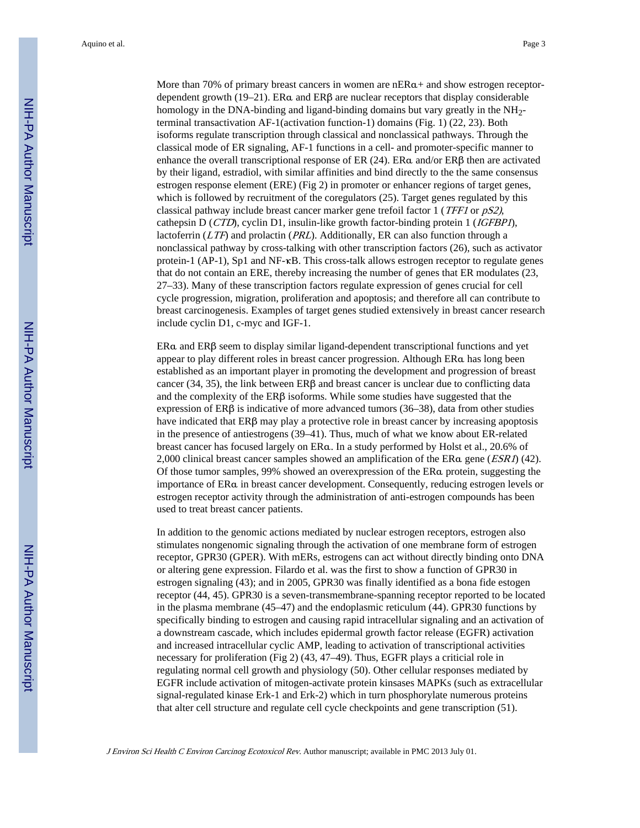More than 70% of primary breast cancers in women are  $nERa+$  and show estrogen receptordependent growth (19–21). ER $\alpha$  and ER $\beta$  are nuclear receptors that display considerable homology in the DNA-binding and ligand-binding domains but vary greatly in the NH<sub>2</sub>terminal transactivation AF-1(activation function-1) domains (Fig. 1) (22, 23). Both isoforms regulate transcription through classical and nonclassical pathways. Through the classical mode of ER signaling, AF-1 functions in a cell- and promoter-specific manner to enhance the overall transcriptional response of ER (24). ERa and/or ER $\beta$  then are activated by their ligand, estradiol, with similar affinities and bind directly to the the same consensus estrogen response element (ERE) (Fig 2) in promoter or enhancer regions of target genes, which is followed by recruitment of the coregulators (25). Target genes regulated by this classical pathway include breast cancer marker gene trefoil factor 1 (TFF1 or pS2), cathepsin D ( $CTD$ ), cyclin D1, insulin-like growth factor-binding protein 1 ( $IGFBPI$ ), lactoferrin  $(LTF)$  and prolactin ( $PRL$ ). Additionally, ER can also function through a nonclassical pathway by cross-talking with other transcription factors (26), such as activator protein-1 (AP-1), Sp1 and NF- $\kappa$ B. This cross-talk allows estrogen receptor to regulate genes that do not contain an ERE, thereby increasing the number of genes that ER modulates (23, 27–33). Many of these transcription factors regulate expression of genes crucial for cell cycle progression, migration, proliferation and apoptosis; and therefore all can contribute to breast carcinogenesis. Examples of target genes studied extensively in breast cancer research include cyclin D1, c-myc and IGF-1.

ERα and ERβ seem to display similar ligand-dependent transcriptional functions and yet appear to play different roles in breast cancer progression. Although ERα has long been established as an important player in promoting the development and progression of breast cancer (34, 35), the link between  $ER\beta$  and breast cancer is unclear due to conflicting data and the complexity of the ERβ isoforms. While some studies have suggested that the expression of  $ERβ$  is indicative of more advanced tumors (36–38), data from other studies have indicated that ERβ may play a protective role in breast cancer by increasing apoptosis in the presence of antiestrogens (39–41). Thus, much of what we know about ER-related breast cancer has focused largely on ERα. In a study performed by Holst et al., 20.6% of 2,000 clinical breast cancer samples showed an amplification of the ERa gene (*ESR1*) (42). Of those tumor samples, 99% showed an overexpression of the ERα protein, suggesting the importance of ERα in breast cancer development. Consequently, reducing estrogen levels or estrogen receptor activity through the administration of anti-estrogen compounds has been used to treat breast cancer patients.

In addition to the genomic actions mediated by nuclear estrogen receptors, estrogen also stimulates nongenomic signaling through the activation of one membrane form of estrogen receptor, GPR30 (GPER). With mERs, estrogens can act without directly binding onto DNA or altering gene expression. Filardo et al. was the first to show a function of GPR30 in estrogen signaling (43); and in 2005, GPR30 was finally identified as a bona fide estogen receptor (44, 45). GPR30 is a seven-transmembrane-spanning receptor reported to be located in the plasma membrane (45–47) and the endoplasmic reticulum (44). GPR30 functions by specifically binding to estrogen and causing rapid intracellular signaling and an activation of a downstream cascade, which includes epidermal growth factor release (EGFR) activation and increased intracellular cyclic AMP, leading to activation of transcriptional activities necessary for proliferation (Fig 2) (43, 47–49). Thus, EGFR plays a criticial role in regulating normal cell growth and physiology (50). Other cellular responses mediated by EGFR include activation of mitogen-activate protein kinsases MAPKs (such as extracellular signal-regulated kinase Erk-1 and Erk-2) which in turn phosphorylate numerous proteins that alter cell structure and regulate cell cycle checkpoints and gene transcription (51).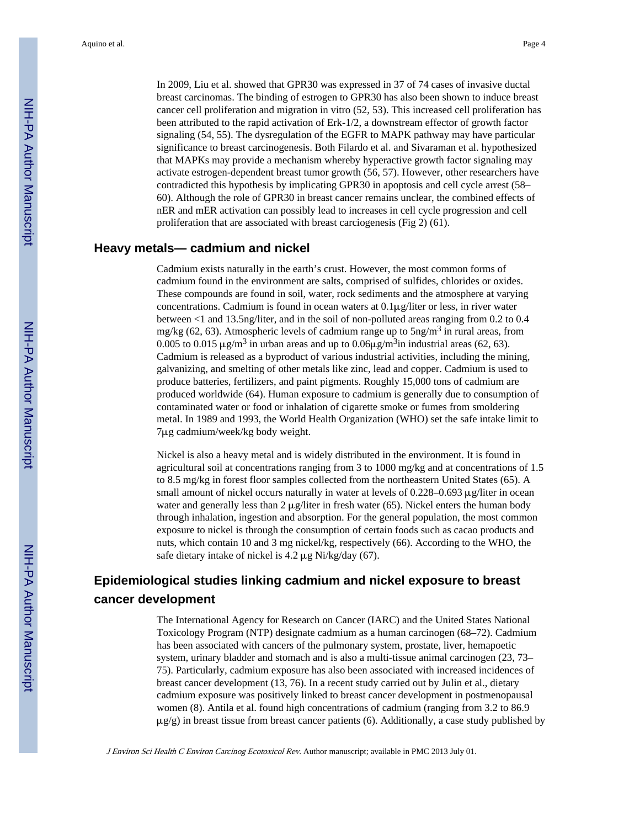In 2009, Liu et al. showed that GPR30 was expressed in 37 of 74 cases of invasive ductal breast carcinomas. The binding of estrogen to GPR30 has also been shown to induce breast cancer cell proliferation and migration in vitro (52, 53). This increased cell proliferation has been attributed to the rapid activation of Erk-1/2, a downstream effector of growth factor signaling (54, 55). The dysregulation of the EGFR to MAPK pathway may have particular significance to breast carcinogenesis. Both Filardo et al. and Sivaraman et al. hypothesized that MAPKs may provide a mechanism whereby hyperactive growth factor signaling may activate estrogen-dependent breast tumor growth (56, 57). However, other researchers have contradicted this hypothesis by implicating GPR30 in apoptosis and cell cycle arrest (58– 60). Although the role of GPR30 in breast cancer remains unclear, the combined effects of nER and mER activation can possibly lead to increases in cell cycle progression and cell proliferation that are associated with breast carciogenesis (Fig 2) (61).

#### **Heavy metals— cadmium and nickel**

Cadmium exists naturally in the earth's crust. However, the most common forms of cadmium found in the environment are salts, comprised of sulfides, chlorides or oxides. These compounds are found in soil, water, rock sediments and the atmosphere at varying concentrations. Cadmium is found in ocean waters at  $0.1\mu$ g/liter or less, in river water between <1 and 13.5ng/liter, and in the soil of non-polluted areas ranging from 0.2 to 0.4 mg/kg (62, 63). Atmospheric levels of cadmium range up to 5ng/m<sup>3</sup> in rural areas, from 0.005 to 0.015  $\mu$ g/m<sup>3</sup> in urban areas and up to 0.06 $\mu$ g/m<sup>3</sup>in industrial areas (62, 63). Cadmium is released as a byproduct of various industrial activities, including the mining, galvanizing, and smelting of other metals like zinc, lead and copper. Cadmium is used to produce batteries, fertilizers, and paint pigments. Roughly 15,000 tons of cadmium are produced worldwide (64). Human exposure to cadmium is generally due to consumption of contaminated water or food or inhalation of cigarette smoke or fumes from smoldering metal. In 1989 and 1993, the World Health Organization (WHO) set the safe intake limit to 7μg cadmium/week/kg body weight.

Nickel is also a heavy metal and is widely distributed in the environment. It is found in agricultural soil at concentrations ranging from 3 to 1000 mg/kg and at concentrations of 1.5 to 8.5 mg/kg in forest floor samples collected from the northeastern United States (65). A small amount of nickel occurs naturally in water at levels of  $0.228-0.693 \mu g/l$  iter in ocean water and generally less than  $2 \mu g/l$  liter in fresh water (65). Nickel enters the human body through inhalation, ingestion and absorption. For the general population, the most common exposure to nickel is through the consumption of certain foods such as cacao products and nuts, which contain 10 and 3 mg nickel/kg, respectively (66). According to the WHO, the safe dietary intake of nickel is  $4.2 \mu$ g Ni/kg/day (67).

### **Epidemiological studies linking cadmium and nickel exposure to breast cancer development**

The International Agency for Research on Cancer (IARC) and the United States National Toxicology Program (NTP) designate cadmium as a human carcinogen (68–72). Cadmium has been associated with cancers of the pulmonary system, prostate, liver, hemapoetic system, urinary bladder and stomach and is also a multi-tissue animal carcinogen (23, 73– 75). Particularly, cadmium exposure has also been associated with increased incidences of breast cancer development (13, 76). In a recent study carried out by Julin et al., dietary cadmium exposure was positively linked to breast cancer development in postmenopausal women (8). Antila et al. found high concentrations of cadmium (ranging from 3.2 to 86.9  $\mu$ g/g) in breast tissue from breast cancer patients (6). Additionally, a case study published by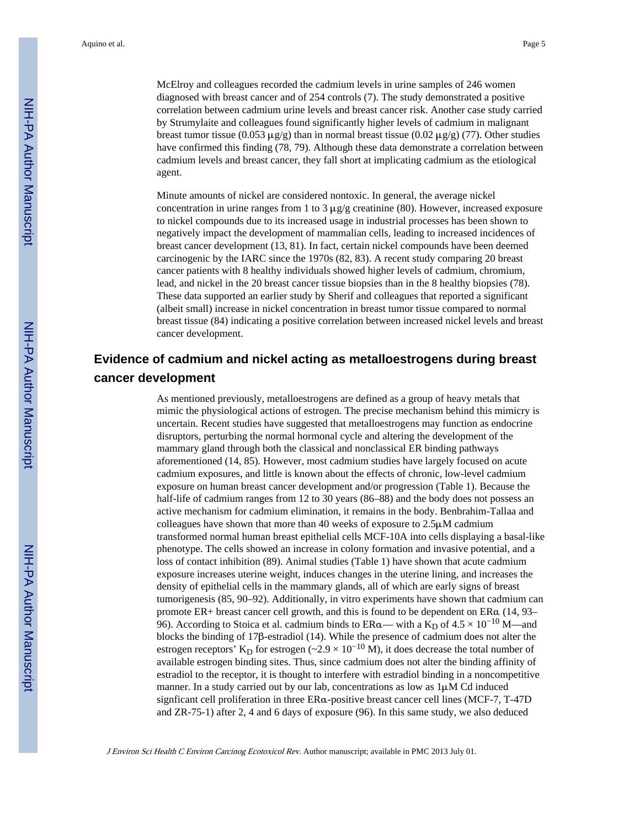agent.

McElroy and colleagues recorded the cadmium levels in urine samples of 246 women diagnosed with breast cancer and of 254 controls (7). The study demonstrated a positive correlation between cadmium urine levels and breast cancer risk. Another case study carried by Strumylaite and colleagues found significantly higher levels of cadmium in malignant breast tumor tissue (0.053  $\mu$ g/g) than in normal breast tissue (0.02  $\mu$ g/g) (77). Other studies have confirmed this finding (78, 79). Although these data demonstrate a correlation between cadmium levels and breast cancer, they fall short at implicating cadmium as the etiological

Minute amounts of nickel are considered nontoxic. In general, the average nickel concentration in urine ranges from 1 to 3  $\mu$ g/g creatinine (80). However, increased exposure to nickel compounds due to its increased usage in industrial processes has been shown to negatively impact the development of mammalian cells, leading to increased incidences of breast cancer development (13, 81). In fact, certain nickel compounds have been deemed carcinogenic by the IARC since the 1970s (82, 83). A recent study comparing 20 breast cancer patients with 8 healthy individuals showed higher levels of cadmium, chromium, lead, and nickel in the 20 breast cancer tissue biopsies than in the 8 healthy biopsies (78). These data supported an earlier study by Sherif and colleagues that reported a significant (albeit small) increase in nickel concentration in breast tumor tissue compared to normal breast tissue (84) indicating a positive correlation between increased nickel levels and breast cancer development.

# **Evidence of cadmium and nickel acting as metalloestrogens during breast cancer development**

As mentioned previously, metalloestrogens are defined as a group of heavy metals that mimic the physiological actions of estrogen. The precise mechanism behind this mimicry is uncertain. Recent studies have suggested that metalloestrogens may function as endocrine disruptors, perturbing the normal hormonal cycle and altering the development of the mammary gland through both the classical and nonclassical ER binding pathways aforementioned (14, 85). However, most cadmium studies have largely focused on acute cadmium exposures, and little is known about the effects of chronic, low-level cadmium exposure on human breast cancer development and/or progression (Table 1). Because the half-life of cadmium ranges from 12 to 30 years (86–88) and the body does not possess an active mechanism for cadmium elimination, it remains in the body. Benbrahim-Tallaa and colleagues have shown that more than 40 weeks of exposure to  $2.5\mu$ M cadmium transformed normal human breast epithelial cells MCF-10A into cells displaying a basal-like phenotype. The cells showed an increase in colony formation and invasive potential, and a loss of contact inhibition (89). Animal studies (Table 1) have shown that acute cadmium exposure increases uterine weight, induces changes in the uterine lining, and increases the density of epithelial cells in the mammary glands, all of which are early signs of breast tumorigenesis (85, 90–92). Additionally, in vitro experiments have shown that cadmium can promote ER+ breast cancer cell growth, and this is found to be dependent on ERα (14, 93– 96). According to Stoica et al. cadmium binds to ERa— with a K<sub>D</sub> of  $4.5 \times 10^{-10}$  M—and blocks the binding of 17β-estradiol (14). While the presence of cadmium does not alter the estrogen receptors' K<sub>D</sub> for estrogen (~2.9 × 10<sup>-10</sup> M), it does decrease the total number of available estrogen binding sites. Thus, since cadmium does not alter the binding affinity of estradiol to the receptor, it is thought to interfere with estradiol binding in a noncompetitive manner. In a study carried out by our lab, concentrations as low as  $1\mu$ M Cd induced signficant cell proliferation in three ERα-positive breast cancer cell lines (MCF-7, T-47D and ZR-75-1) after 2, 4 and 6 days of exposure (96). In this same study, we also deduced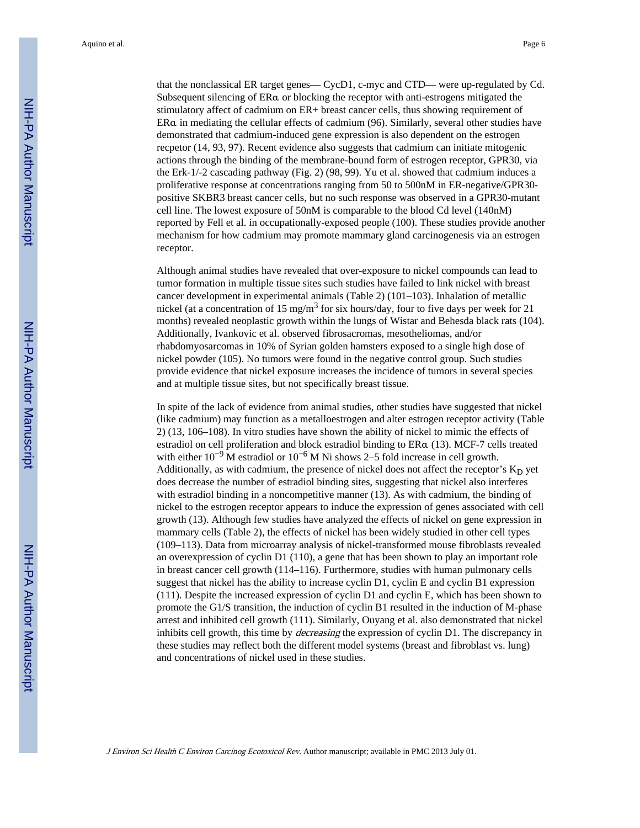that the nonclassical ER target genes— CycD1, c-myc and CTD— were up-regulated by Cd. Subsequent silencing of ERα or blocking the receptor with anti-estrogens mitigated the stimulatory affect of cadmium on ER+ breast cancer cells, thus showing requirement of ERα in mediating the cellular effects of cadmium (96). Similarly, several other studies have demonstrated that cadmium-induced gene expression is also dependent on the estrogen recpetor (14, 93, 97). Recent evidence also suggests that cadmium can initiate mitogenic actions through the binding of the membrane-bound form of estrogen receptor, GPR30, via the Erk-1/-2 cascading pathway (Fig. 2) (98, 99). Yu et al. showed that cadmium induces a proliferative response at concentrations ranging from 50 to 500nM in ER-negative/GPR30 positive SKBR3 breast cancer cells, but no such response was observed in a GPR30-mutant cell line. The lowest exposure of 50nM is comparable to the blood Cd level (140nM) reported by Fell et al. in occupationally-exposed people (100). These studies provide another mechanism for how cadmium may promote mammary gland carcinogenesis via an estrogen receptor.

Although animal studies have revealed that over-exposure to nickel compounds can lead to tumor formation in multiple tissue sites such studies have failed to link nickel with breast cancer development in experimental animals (Table 2) (101–103). Inhalation of metallic nickel (at a concentration of 15 mg/m<sup>3</sup> for six hours/day, four to five days per week for 21 months) revealed neoplastic growth within the lungs of Wistar and Behesda black rats (104). Additionally, Ivankovic et al. observed fibrosacromas, mesotheliomas, and/or rhabdomyosarcomas in 10% of Syrian golden hamsters exposed to a single high dose of nickel powder (105). No tumors were found in the negative control group. Such studies provide evidence that nickel exposure increases the incidence of tumors in several species and at multiple tissue sites, but not specifically breast tissue.

In spite of the lack of evidence from animal studies, other studies have suggested that nickel (like cadmium) may function as a metalloestrogen and alter estrogen receptor activity (Table 2) (13, 106–108). In vitro studies have shown the ability of nickel to mimic the effects of estradiol on cell proliferation and block estradiol binding to ERα (13). MCF-7 cells treated with either 10−9 M estradiol or 10−6 M Ni shows 2–5 fold increase in cell growth. Additionally, as with cadmium, the presence of nickel does not affect the receptor's  $K_D$  yet does decrease the number of estradiol binding sites, suggesting that nickel also interferes with estradiol binding in a noncompetitive manner (13). As with cadmium, the binding of nickel to the estrogen receptor appears to induce the expression of genes associated with cell growth (13). Although few studies have analyzed the effects of nickel on gene expression in mammary cells (Table 2), the effects of nickel has been widely studied in other cell types (109–113). Data from microarray analysis of nickel-transformed mouse fibroblasts revealed an overexpression of cyclin D1 (110), a gene that has been shown to play an important role in breast cancer cell growth (114–116). Furthermore, studies with human pulmonary cells suggest that nickel has the ability to increase cyclin D1, cyclin E and cyclin B1 expression (111). Despite the increased expression of cyclin D1 and cyclin E, which has been shown to promote the G1/S transition, the induction of cyclin B1 resulted in the induction of M-phase arrest and inhibited cell growth (111). Similarly, Ouyang et al. also demonstrated that nickel inhibits cell growth, this time by *decreasing* the expression of cyclin D1. The discrepancy in these studies may reflect both the different model systems (breast and fibroblast vs. lung) and concentrations of nickel used in these studies.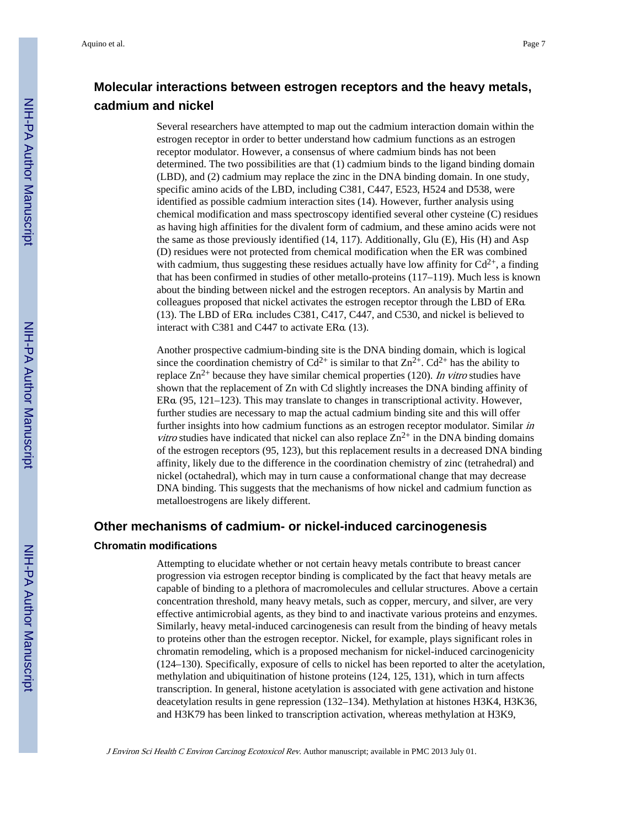# **Molecular interactions between estrogen receptors and the heavy metals, cadmium and nickel**

Several researchers have attempted to map out the cadmium interaction domain within the estrogen receptor in order to better understand how cadmium functions as an estrogen receptor modulator. However, a consensus of where cadmium binds has not been determined. The two possibilities are that (1) cadmium binds to the ligand binding domain (LBD), and (2) cadmium may replace the zinc in the DNA binding domain. In one study, specific amino acids of the LBD, including C381, C447, E523, H524 and D538, were identified as possible cadmium interaction sites (14). However, further analysis using chemical modification and mass spectroscopy identified several other cysteine (C) residues as having high affinities for the divalent form of cadmium, and these amino acids were not the same as those previously identified (14, 117). Additionally, Glu (E), His (H) and Asp (D) residues were not protected from chemical modification when the ER was combined with cadmium, thus suggesting these residues actually have low affinity for  $Cd^{2+}$ , a finding that has been confirmed in studies of other metallo-proteins (117–119). Much less is known about the binding between nickel and the estrogen receptors. An analysis by Martin and colleagues proposed that nickel activates the estrogen receptor through the LBD of ERα (13). The LBD of ERα includes C381, C417, C447, and C530, and nickel is believed to interact with C381 and C447 to activate ERα (13).

Another prospective cadmium-binding site is the DNA binding domain, which is logical since the coordination chemistry of  $Cd^{2+}$  is similar to that  $Zn^{2+}$ .  $Cd^{2+}$  has the ability to replace  $Zn^{2+}$  because they have similar chemical properties (120). In vitro studies have shown that the replacement of Zn with Cd slightly increases the DNA binding affinity of ERα (95, 121–123). This may translate to changes in transcriptional activity. However, further studies are necessary to map the actual cadmium binding site and this will offer further insights into how cadmium functions as an estrogen receptor modulator. Similar in *vitro* studies have indicated that nickel can also replace  $Zn^{2+}$  in the DNA binding domains of the estrogen receptors (95, 123), but this replacement results in a decreased DNA binding affinity, likely due to the difference in the coordination chemistry of zinc (tetrahedral) and nickel (octahedral), which may in turn cause a conformational change that may decrease DNA binding. This suggests that the mechanisms of how nickel and cadmium function as metalloestrogens are likely different.

#### **Other mechanisms of cadmium- or nickel-induced carcinogenesis**

#### **Chromatin modifications**

Attempting to elucidate whether or not certain heavy metals contribute to breast cancer progression via estrogen receptor binding is complicated by the fact that heavy metals are capable of binding to a plethora of macromolecules and cellular structures. Above a certain concentration threshold, many heavy metals, such as copper, mercury, and silver, are very effective antimicrobial agents, as they bind to and inactivate various proteins and enzymes. Similarly, heavy metal-induced carcinogenesis can result from the binding of heavy metals to proteins other than the estrogen receptor. Nickel, for example, plays significant roles in chromatin remodeling, which is a proposed mechanism for nickel-induced carcinogenicity (124–130). Specifically, exposure of cells to nickel has been reported to alter the acetylation, methylation and ubiquitination of histone proteins (124, 125, 131), which in turn affects transcription. In general, histone acetylation is associated with gene activation and histone deacetylation results in gene repression (132–134). Methylation at histones H3K4, H3K36, and H3K79 has been linked to transcription activation, whereas methylation at H3K9,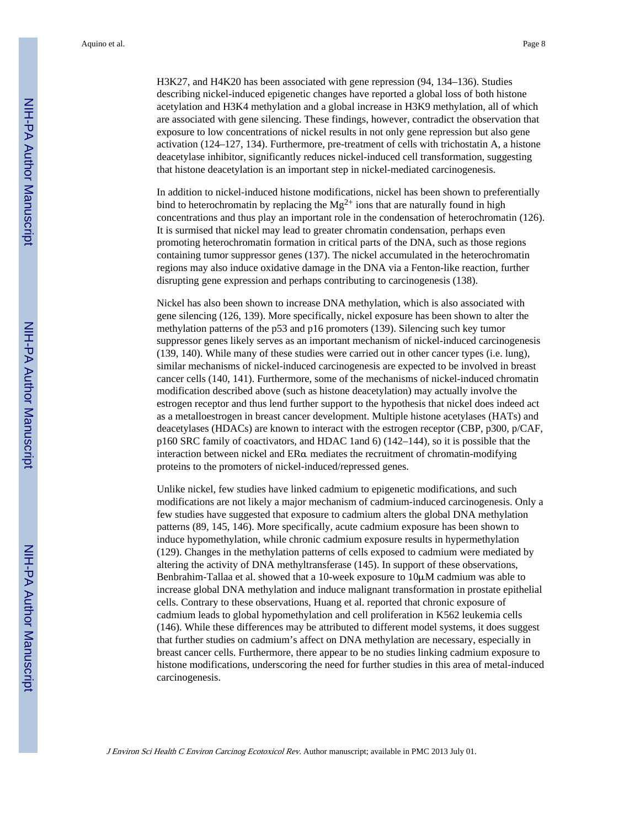H3K27, and H4K20 has been associated with gene repression (94, 134–136). Studies describing nickel-induced epigenetic changes have reported a global loss of both histone acetylation and H3K4 methylation and a global increase in H3K9 methylation, all of which are associated with gene silencing. These findings, however, contradict the observation that exposure to low concentrations of nickel results in not only gene repression but also gene activation (124–127, 134). Furthermore, pre-treatment of cells with trichostatin A, a histone deacetylase inhibitor, significantly reduces nickel-induced cell transformation, suggesting that histone deacetylation is an important step in nickel-mediated carcinogenesis.

In addition to nickel-induced histone modifications, nickel has been shown to preferentially bind to heterochromatin by replacing the  $Mg^{2+}$  ions that are naturally found in high concentrations and thus play an important role in the condensation of heterochromatin (126). It is surmised that nickel may lead to greater chromatin condensation, perhaps even promoting heterochromatin formation in critical parts of the DNA, such as those regions containing tumor suppressor genes (137). The nickel accumulated in the heterochromatin regions may also induce oxidative damage in the DNA via a Fenton-like reaction, further disrupting gene expression and perhaps contributing to carcinogenesis (138).

Nickel has also been shown to increase DNA methylation, which is also associated with gene silencing (126, 139). More specifically, nickel exposure has been shown to alter the methylation patterns of the p53 and p16 promoters (139). Silencing such key tumor suppressor genes likely serves as an important mechanism of nickel-induced carcinogenesis (139, 140). While many of these studies were carried out in other cancer types (i.e. lung), similar mechanisms of nickel-induced carcinogenesis are expected to be involved in breast cancer cells (140, 141). Furthermore, some of the mechanisms of nickel-induced chromatin modification described above (such as histone deacetylation) may actually involve the estrogen receptor and thus lend further support to the hypothesis that nickel does indeed act as a metalloestrogen in breast cancer development. Multiple histone acetylases (HATs) and deacetylases (HDACs) are known to interact with the estrogen receptor (CBP, p300, p/CAF, p160 SRC family of coactivators, and HDAC 1and 6) (142–144), so it is possible that the interaction between nickel and ERα mediates the recruitment of chromatin-modifying proteins to the promoters of nickel-induced/repressed genes.

Unlike nickel, few studies have linked cadmium to epigenetic modifications, and such modifications are not likely a major mechanism of cadmium-induced carcinogenesis. Only a few studies have suggested that exposure to cadmium alters the global DNA methylation patterns (89, 145, 146). More specifically, acute cadmium exposure has been shown to induce hypomethylation, while chronic cadmium exposure results in hypermethylation (129). Changes in the methylation patterns of cells exposed to cadmium were mediated by altering the activity of DNA methyltransferase (145). In support of these observations, Benbrahim-Tallaa et al. showed that a 10-week exposure to 10μM cadmium was able to increase global DNA methylation and induce malignant transformation in prostate epithelial cells. Contrary to these observations, Huang et al. reported that chronic exposure of cadmium leads to global hypomethylation and cell proliferation in K562 leukemia cells (146). While these differences may be attributed to different model systems, it does suggest that further studies on cadmium's affect on DNA methylation are necessary, especially in breast cancer cells. Furthermore, there appear to be no studies linking cadmium exposure to histone modifications, underscoring the need for further studies in this area of metal-induced carcinogenesis.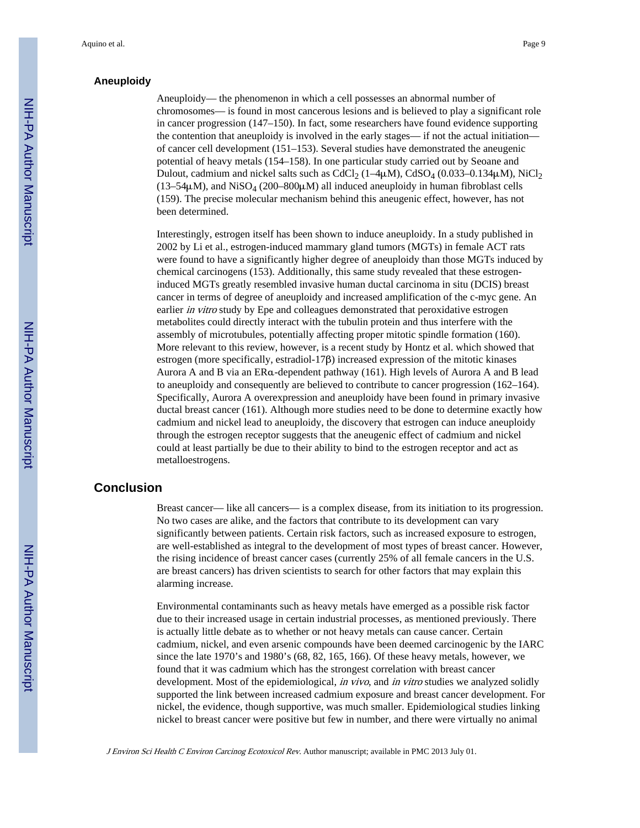#### **Aneuploidy**

Aneuploidy— the phenomenon in which a cell possesses an abnormal number of chromosomes— is found in most cancerous lesions and is believed to play a significant role in cancer progression (147–150). In fact, some researchers have found evidence supporting the contention that aneuploidy is involved in the early stages— if not the actual initiation of cancer cell development (151–153). Several studies have demonstrated the aneugenic potential of heavy metals (154–158). In one particular study carried out by Seoane and Dulout, cadmium and nickel salts such as CdCl<sub>2</sub> (1–4 $\mu$ M), CdSO<sub>4</sub> (0.033–0.134 $\mu$ M), NiCl<sub>2</sub>  $(13-54\mu)$ , and NiSO<sub>4</sub> (200–800 $\mu$ M) all induced aneuploidy in human fibroblast cells (159). The precise molecular mechanism behind this aneugenic effect, however, has not been determined.

Interestingly, estrogen itself has been shown to induce aneuploidy. In a study published in 2002 by Li et al., estrogen-induced mammary gland tumors (MGTs) in female ACT rats were found to have a significantly higher degree of aneuploidy than those MGTs induced by chemical carcinogens (153). Additionally, this same study revealed that these estrogeninduced MGTs greatly resembled invasive human ductal carcinoma in situ (DCIS) breast cancer in terms of degree of aneuploidy and increased amplification of the c-myc gene. An earlier *in vitro* study by Epe and colleagues demonstrated that peroxidative estrogen metabolites could directly interact with the tubulin protein and thus interfere with the assembly of microtubules, potentially affecting proper mitotic spindle formation (160). More relevant to this review, however, is a recent study by Hontz et al. which showed that estrogen (more specifically, estradiol-17β) increased expression of the mitotic kinases Aurora A and B via an ERα-dependent pathway (161). High levels of Aurora A and B lead to aneuploidy and consequently are believed to contribute to cancer progression (162–164). Specifically, Aurora A overexpression and aneuploidy have been found in primary invasive ductal breast cancer (161). Although more studies need to be done to determine exactly how cadmium and nickel lead to aneuploidy, the discovery that estrogen can induce aneuploidy through the estrogen receptor suggests that the aneugenic effect of cadmium and nickel could at least partially be due to their ability to bind to the estrogen receptor and act as metalloestrogens.

#### **Conclusion**

Breast cancer— like all cancers— is a complex disease, from its initiation to its progression. No two cases are alike, and the factors that contribute to its development can vary significantly between patients. Certain risk factors, such as increased exposure to estrogen, are well-established as integral to the development of most types of breast cancer. However, the rising incidence of breast cancer cases (currently 25% of all female cancers in the U.S. are breast cancers) has driven scientists to search for other factors that may explain this alarming increase.

Environmental contaminants such as heavy metals have emerged as a possible risk factor due to their increased usage in certain industrial processes, as mentioned previously. There is actually little debate as to whether or not heavy metals can cause cancer. Certain cadmium, nickel, and even arsenic compounds have been deemed carcinogenic by the IARC since the late 1970's and 1980's (68, 82, 165, 166). Of these heavy metals, however, we found that it was cadmium which has the strongest correlation with breast cancer development. Most of the epidemiological, in vivo, and in vitro studies we analyzed solidly supported the link between increased cadmium exposure and breast cancer development. For nickel, the evidence, though supportive, was much smaller. Epidemiological studies linking nickel to breast cancer were positive but few in number, and there were virtually no animal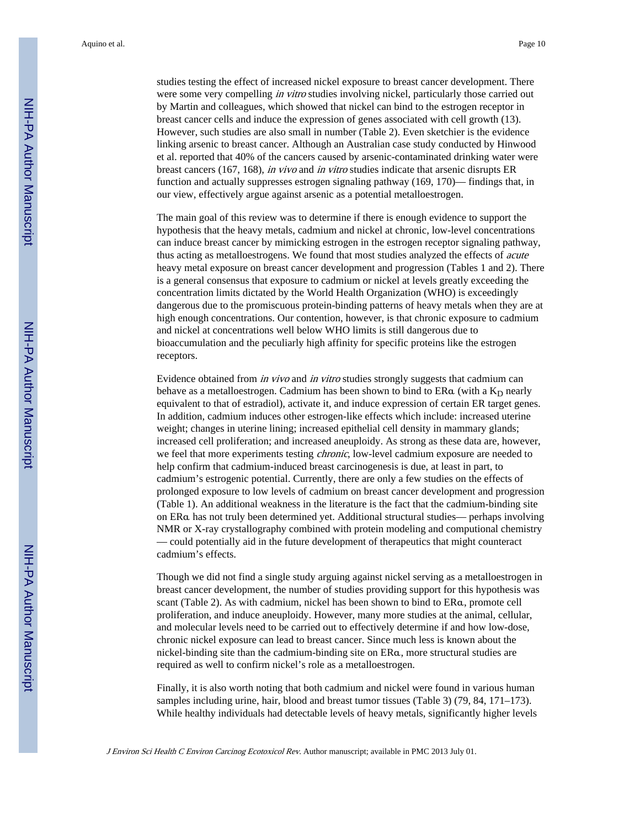Aquino et al. Page 10

studies testing the effect of increased nickel exposure to breast cancer development. There were some very compelling in vitro studies involving nickel, particularly those carried out by Martin and colleagues, which showed that nickel can bind to the estrogen receptor in breast cancer cells and induce the expression of genes associated with cell growth (13). However, such studies are also small in number (Table 2). Even sketchier is the evidence linking arsenic to breast cancer. Although an Australian case study conducted by Hinwood et al. reported that 40% of the cancers caused by arsenic-contaminated drinking water were breast cancers (167, 168), in vivo and in vitro studies indicate that arsenic disrupts ER function and actually suppresses estrogen signaling pathway (169, 170)— findings that, in our view, effectively argue against arsenic as a potential metalloestrogen.

The main goal of this review was to determine if there is enough evidence to support the hypothesis that the heavy metals, cadmium and nickel at chronic, low-level concentrations can induce breast cancer by mimicking estrogen in the estrogen receptor signaling pathway, thus acting as metalloestrogens. We found that most studies analyzed the effects of acute heavy metal exposure on breast cancer development and progression (Tables 1 and 2). There is a general consensus that exposure to cadmium or nickel at levels greatly exceeding the concentration limits dictated by the World Health Organization (WHO) is exceedingly dangerous due to the promiscuous protein-binding patterns of heavy metals when they are at high enough concentrations. Our contention, however, is that chronic exposure to cadmium and nickel at concentrations well below WHO limits is still dangerous due to bioaccumulation and the peculiarly high affinity for specific proteins like the estrogen receptors.

Evidence obtained from in vivo and in vitro studies strongly suggests that cadmium can behave as a metalloestrogen. Cadmium has been shown to bind to ER $\alpha$  (with a K<sub>D</sub> nearly equivalent to that of estradiol), activate it, and induce expression of certain ER target genes. In addition, cadmium induces other estrogen-like effects which include: increased uterine weight; changes in uterine lining; increased epithelial cell density in mammary glands; increased cell proliferation; and increased aneuploidy. As strong as these data are, however, we feel that more experiments testing *chronic*, low-level cadmium exposure are needed to help confirm that cadmium-induced breast carcinogenesis is due, at least in part, to cadmium's estrogenic potential. Currently, there are only a few studies on the effects of prolonged exposure to low levels of cadmium on breast cancer development and progression (Table 1). An additional weakness in the literature is the fact that the cadmium-binding site on ERα has not truly been determined yet. Additional structural studies— perhaps involving NMR or X-ray crystallography combined with protein modeling and computional chemistry — could potentially aid in the future development of therapeutics that might counteract cadmium's effects.

Though we did not find a single study arguing against nickel serving as a metalloestrogen in breast cancer development, the number of studies providing support for this hypothesis was scant (Table 2). As with cadmium, nickel has been shown to bind to ERα, promote cell proliferation, and induce aneuploidy. However, many more studies at the animal, cellular, and molecular levels need to be carried out to effectively determine if and how low-dose, chronic nickel exposure can lead to breast cancer. Since much less is known about the nickel-binding site than the cadmium-binding site on ERα, more structural studies are required as well to confirm nickel's role as a metalloestrogen.

Finally, it is also worth noting that both cadmium and nickel were found in various human samples including urine, hair, blood and breast tumor tissues (Table 3) (79, 84, 171–173). While healthy individuals had detectable levels of heavy metals, significantly higher levels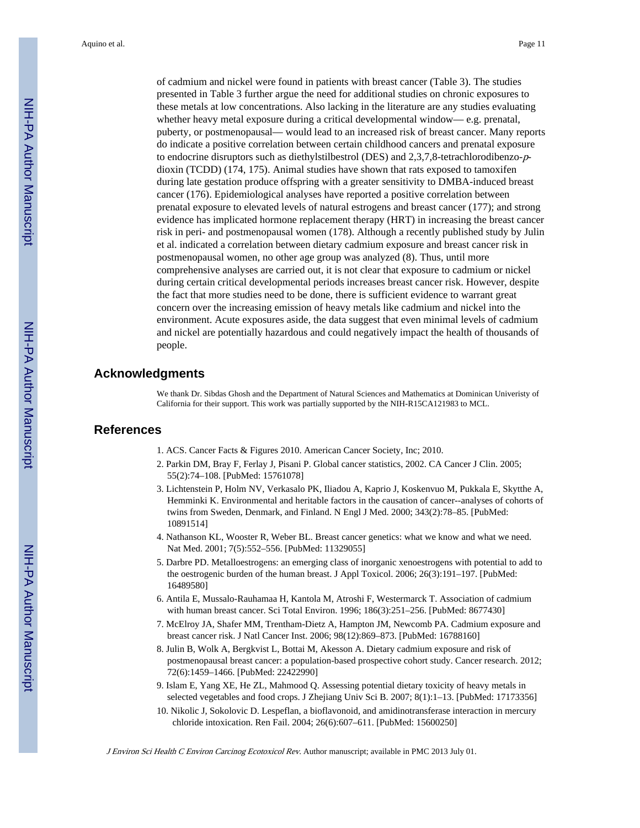of cadmium and nickel were found in patients with breast cancer (Table 3). The studies presented in Table 3 further argue the need for additional studies on chronic exposures to these metals at low concentrations. Also lacking in the literature are any studies evaluating whether heavy metal exposure during a critical developmental window— e.g. prenatal, puberty, or postmenopausal— would lead to an increased risk of breast cancer. Many reports do indicate a positive correlation between certain childhood cancers and prenatal exposure to endocrine disruptors such as diethylstilbestrol (DES) and  $2,3,7,8$ -tetrachlorodibenzo- $p$ dioxin (TCDD) (174, 175). Animal studies have shown that rats exposed to tamoxifen during late gestation produce offspring with a greater sensitivity to DMBA-induced breast cancer (176). Epidemiological analyses have reported a positive correlation between prenatal exposure to elevated levels of natural estrogens and breast cancer (177); and strong evidence has implicated hormone replacement therapy (HRT) in increasing the breast cancer risk in peri- and postmenopausal women (178). Although a recently published study by Julin et al. indicated a correlation between dietary cadmium exposure and breast cancer risk in postmenopausal women, no other age group was analyzed (8). Thus, until more comprehensive analyses are carried out, it is not clear that exposure to cadmium or nickel during certain critical developmental periods increases breast cancer risk. However, despite the fact that more studies need to be done, there is sufficient evidence to warrant great concern over the increasing emission of heavy metals like cadmium and nickel into the environment. Acute exposures aside, the data suggest that even minimal levels of cadmium and nickel are potentially hazardous and could negatively impact the health of thousands of people.

#### **Acknowledgments**

We thank Dr. Sibdas Ghosh and the Department of Natural Sciences and Mathematics at Dominican Univeristy of California for their support. This work was partially supported by the NIH-R15CA121983 to MCL.

#### **References**

- 1. ACS. Cancer Facts & Figures 2010. American Cancer Society, Inc; 2010.
- 2. Parkin DM, Bray F, Ferlay J, Pisani P. Global cancer statistics, 2002. CA Cancer J Clin. 2005; 55(2):74–108. [PubMed: 15761078]
- 3. Lichtenstein P, Holm NV, Verkasalo PK, Iliadou A, Kaprio J, Koskenvuo M, Pukkala E, Skytthe A, Hemminki K. Environmental and heritable factors in the causation of cancer--analyses of cohorts of twins from Sweden, Denmark, and Finland. N Engl J Med. 2000; 343(2):78–85. [PubMed: 10891514]
- 4. Nathanson KL, Wooster R, Weber BL. Breast cancer genetics: what we know and what we need. Nat Med. 2001; 7(5):552–556. [PubMed: 11329055]
- 5. Darbre PD. Metalloestrogens: an emerging class of inorganic xenoestrogens with potential to add to the oestrogenic burden of the human breast. J Appl Toxicol. 2006; 26(3):191–197. [PubMed: 16489580]
- 6. Antila E, Mussalo-Rauhamaa H, Kantola M, Atroshi F, Westermarck T. Association of cadmium with human breast cancer. Sci Total Environ. 1996; 186(3):251–256. [PubMed: 8677430]
- 7. McElroy JA, Shafer MM, Trentham-Dietz A, Hampton JM, Newcomb PA. Cadmium exposure and breast cancer risk. J Natl Cancer Inst. 2006; 98(12):869–873. [PubMed: 16788160]
- 8. Julin B, Wolk A, Bergkvist L, Bottai M, Akesson A. Dietary cadmium exposure and risk of postmenopausal breast cancer: a population-based prospective cohort study. Cancer research. 2012; 72(6):1459–1466. [PubMed: 22422990]
- 9. Islam E, Yang XE, He ZL, Mahmood Q. Assessing potential dietary toxicity of heavy metals in selected vegetables and food crops. J Zhejiang Univ Sci B. 2007; 8(1):1–13. [PubMed: 17173356]
- 10. Nikolic J, Sokolovic D. Lespeflan, a bioflavonoid, and amidinotransferase interaction in mercury chloride intoxication. Ren Fail. 2004; 26(6):607–611. [PubMed: 15600250]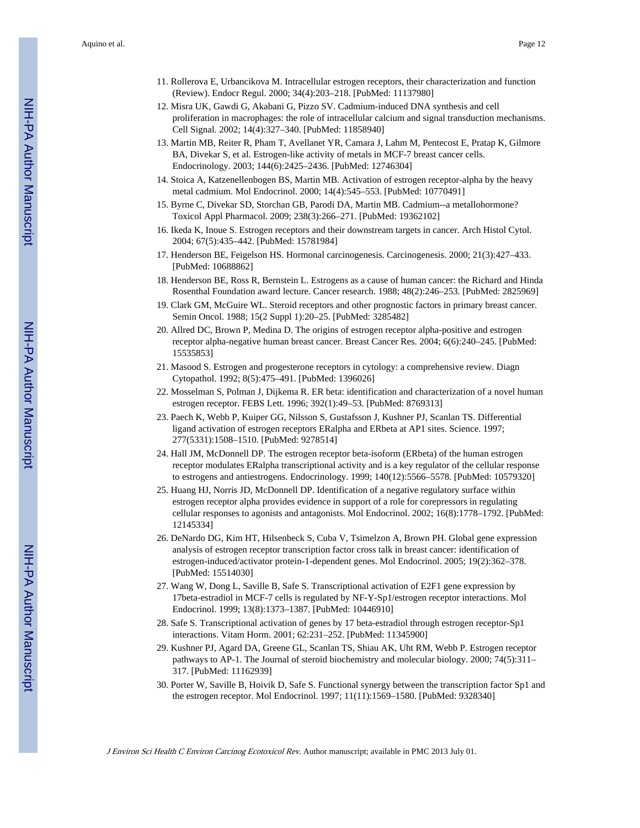Aquino et al. Page 12

- 11. Rollerova E, Urbancikova M. Intracellular estrogen receptors, their characterization and function (Review). Endocr Regul. 2000; 34(4):203–218. [PubMed: 11137980]
- 12. Misra UK, Gawdi G, Akabani G, Pizzo SV. Cadmium-induced DNA synthesis and cell proliferation in macrophages: the role of intracellular calcium and signal transduction mechanisms. Cell Signal. 2002; 14(4):327–340. [PubMed: 11858940]
- 13. Martin MB, Reiter R, Pham T, Avellanet YR, Camara J, Lahm M, Pentecost E, Pratap K, Gilmore BA, Divekar S, et al. Estrogen-like activity of metals in MCF-7 breast cancer cells. Endocrinology. 2003; 144(6):2425–2436. [PubMed: 12746304]
- 14. Stoica A, Katzenellenbogen BS, Martin MB. Activation of estrogen receptor-alpha by the heavy metal cadmium. Mol Endocrinol. 2000; 14(4):545–553. [PubMed: 10770491]
- 15. Byrne C, Divekar SD, Storchan GB, Parodi DA, Martin MB. Cadmium--a metallohormone? Toxicol Appl Pharmacol. 2009; 238(3):266–271. [PubMed: 19362102]
- 16. Ikeda K, Inoue S. Estrogen receptors and their downstream targets in cancer. Arch Histol Cytol. 2004; 67(5):435–442. [PubMed: 15781984]
- 17. Henderson BE, Feigelson HS. Hormonal carcinogenesis. Carcinogenesis. 2000; 21(3):427–433. [PubMed: 10688862]
- 18. Henderson BE, Ross R, Bernstein L. Estrogens as a cause of human cancer: the Richard and Hinda Rosenthal Foundation award lecture. Cancer research. 1988; 48(2):246–253. [PubMed: 2825969]
- 19. Clark GM, McGuire WL. Steroid receptors and other prognostic factors in primary breast cancer. Semin Oncol. 1988; 15(2 Suppl 1):20–25. [PubMed: 3285482]
- 20. Allred DC, Brown P, Medina D. The origins of estrogen receptor alpha-positive and estrogen receptor alpha-negative human breast cancer. Breast Cancer Res. 2004; 6(6):240–245. [PubMed: 15535853]
- 21. Masood S. Estrogen and progesterone receptors in cytology: a comprehensive review. Diagn Cytopathol. 1992; 8(5):475–491. [PubMed: 1396026]
- 22. Mosselman S, Polman J, Dijkema R. ER beta: identification and characterization of a novel human estrogen receptor. FEBS Lett. 1996; 392(1):49–53. [PubMed: 8769313]
- 23. Paech K, Webb P, Kuiper GG, Nilsson S, Gustafsson J, Kushner PJ, Scanlan TS. Differential ligand activation of estrogen receptors ERalpha and ERbeta at AP1 sites. Science. 1997; 277(5331):1508–1510. [PubMed: 9278514]
- 24. Hall JM, McDonnell DP. The estrogen receptor beta-isoform (ERbeta) of the human estrogen receptor modulates ERalpha transcriptional activity and is a key regulator of the cellular response to estrogens and antiestrogens. Endocrinology. 1999; 140(12):5566–5578. [PubMed: 10579320]
- 25. Huang HJ, Norris JD, McDonnell DP. Identification of a negative regulatory surface within estrogen receptor alpha provides evidence in support of a role for corepressors in regulating cellular responses to agonists and antagonists. Mol Endocrinol. 2002; 16(8):1778–1792. [PubMed: 12145334]
- 26. DeNardo DG, Kim HT, Hilsenbeck S, Cuba V, Tsimelzon A, Brown PH. Global gene expression analysis of estrogen receptor transcription factor cross talk in breast cancer: identification of estrogen-induced/activator protein-1-dependent genes. Mol Endocrinol. 2005; 19(2):362–378. [PubMed: 15514030]
- 27. Wang W, Dong L, Saville B, Safe S. Transcriptional activation of E2F1 gene expression by 17beta-estradiol in MCF-7 cells is regulated by NF-Y-Sp1/estrogen receptor interactions. Mol Endocrinol. 1999; 13(8):1373–1387. [PubMed: 10446910]
- 28. Safe S. Transcriptional activation of genes by 17 beta-estradiol through estrogen receptor-Sp1 interactions. Vitam Horm. 2001; 62:231–252. [PubMed: 11345900]
- 29. Kushner PJ, Agard DA, Greene GL, Scanlan TS, Shiau AK, Uht RM, Webb P. Estrogen receptor pathways to AP-1. The Journal of steroid biochemistry and molecular biology. 2000; 74(5):311– 317. [PubMed: 11162939]
- 30. Porter W, Saville B, Hoivik D, Safe S. Functional synergy between the transcription factor Sp1 and the estrogen receptor. Mol Endocrinol. 1997; 11(11):1569–1580. [PubMed: 9328340]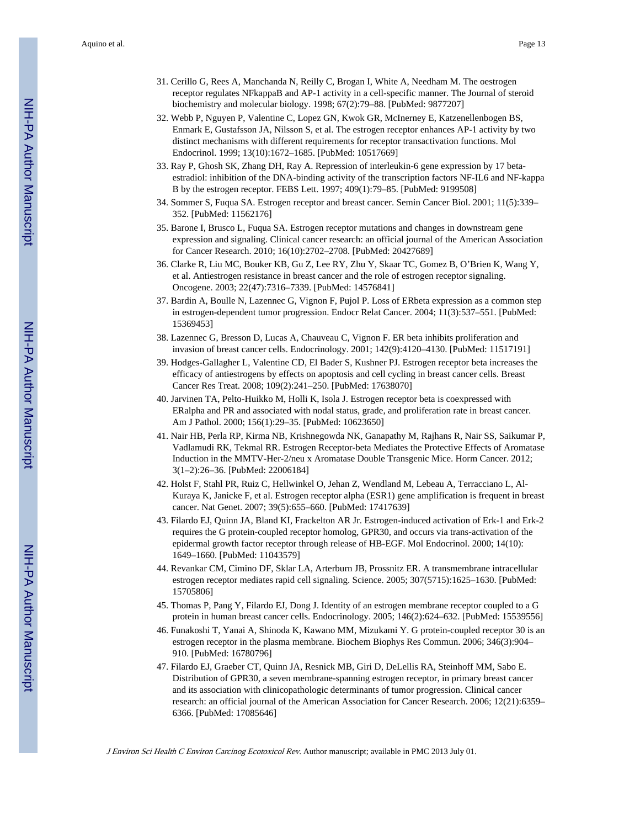- 31. Cerillo G, Rees A, Manchanda N, Reilly C, Brogan I, White A, Needham M. The oestrogen receptor regulates NFkappaB and AP-1 activity in a cell-specific manner. The Journal of steroid biochemistry and molecular biology. 1998; 67(2):79–88. [PubMed: 9877207]
- 32. Webb P, Nguyen P, Valentine C, Lopez GN, Kwok GR, McInerney E, Katzenellenbogen BS, Enmark E, Gustafsson JA, Nilsson S, et al. The estrogen receptor enhances AP-1 activity by two distinct mechanisms with different requirements for receptor transactivation functions. Mol Endocrinol. 1999; 13(10):1672–1685. [PubMed: 10517669]
- 33. Ray P, Ghosh SK, Zhang DH, Ray A. Repression of interleukin-6 gene expression by 17 betaestradiol: inhibition of the DNA-binding activity of the transcription factors NF-IL6 and NF-kappa B by the estrogen receptor. FEBS Lett. 1997; 409(1):79–85. [PubMed: 9199508]
- 34. Sommer S, Fuqua SA. Estrogen receptor and breast cancer. Semin Cancer Biol. 2001; 11(5):339– 352. [PubMed: 11562176]
- 35. Barone I, Brusco L, Fuqua SA. Estrogen receptor mutations and changes in downstream gene expression and signaling. Clinical cancer research: an official journal of the American Association for Cancer Research. 2010; 16(10):2702–2708. [PubMed: 20427689]
- 36. Clarke R, Liu MC, Bouker KB, Gu Z, Lee RY, Zhu Y, Skaar TC, Gomez B, O'Brien K, Wang Y, et al. Antiestrogen resistance in breast cancer and the role of estrogen receptor signaling. Oncogene. 2003; 22(47):7316–7339. [PubMed: 14576841]
- 37. Bardin A, Boulle N, Lazennec G, Vignon F, Pujol P. Loss of ERbeta expression as a common step in estrogen-dependent tumor progression. Endocr Relat Cancer. 2004; 11(3):537–551. [PubMed: 15369453]
- 38. Lazennec G, Bresson D, Lucas A, Chauveau C, Vignon F. ER beta inhibits proliferation and invasion of breast cancer cells. Endocrinology. 2001; 142(9):4120–4130. [PubMed: 11517191]
- 39. Hodges-Gallagher L, Valentine CD, El Bader S, Kushner PJ. Estrogen receptor beta increases the efficacy of antiestrogens by effects on apoptosis and cell cycling in breast cancer cells. Breast Cancer Res Treat. 2008; 109(2):241–250. [PubMed: 17638070]
- 40. Jarvinen TA, Pelto-Huikko M, Holli K, Isola J. Estrogen receptor beta is coexpressed with ERalpha and PR and associated with nodal status, grade, and proliferation rate in breast cancer. Am J Pathol. 2000; 156(1):29–35. [PubMed: 10623650]
- 41. Nair HB, Perla RP, Kirma NB, Krishnegowda NK, Ganapathy M, Rajhans R, Nair SS, Saikumar P, Vadlamudi RK, Tekmal RR. Estrogen Receptor-beta Mediates the Protective Effects of Aromatase Induction in the MMTV-Her-2/neu x Aromatase Double Transgenic Mice. Horm Cancer. 2012; 3(1–2):26–36. [PubMed: 22006184]
- 42. Holst F, Stahl PR, Ruiz C, Hellwinkel O, Jehan Z, Wendland M, Lebeau A, Terracciano L, Al-Kuraya K, Janicke F, et al. Estrogen receptor alpha (ESR1) gene amplification is frequent in breast cancer. Nat Genet. 2007; 39(5):655–660. [PubMed: 17417639]
- 43. Filardo EJ, Quinn JA, Bland KI, Frackelton AR Jr. Estrogen-induced activation of Erk-1 and Erk-2 requires the G protein-coupled receptor homolog, GPR30, and occurs via trans-activation of the epidermal growth factor receptor through release of HB-EGF. Mol Endocrinol. 2000; 14(10): 1649–1660. [PubMed: 11043579]
- 44. Revankar CM, Cimino DF, Sklar LA, Arterburn JB, Prossnitz ER. A transmembrane intracellular estrogen receptor mediates rapid cell signaling. Science. 2005; 307(5715):1625–1630. [PubMed: 15705806]
- 45. Thomas P, Pang Y, Filardo EJ, Dong J. Identity of an estrogen membrane receptor coupled to a G protein in human breast cancer cells. Endocrinology. 2005; 146(2):624–632. [PubMed: 15539556]
- 46. Funakoshi T, Yanai A, Shinoda K, Kawano MM, Mizukami Y. G protein-coupled receptor 30 is an estrogen receptor in the plasma membrane. Biochem Biophys Res Commun. 2006; 346(3):904– 910. [PubMed: 16780796]
- 47. Filardo EJ, Graeber CT, Quinn JA, Resnick MB, Giri D, DeLellis RA, Steinhoff MM, Sabo E. Distribution of GPR30, a seven membrane-spanning estrogen receptor, in primary breast cancer and its association with clinicopathologic determinants of tumor progression. Clinical cancer research: an official journal of the American Association for Cancer Research. 2006; 12(21):6359– 6366. [PubMed: 17085646]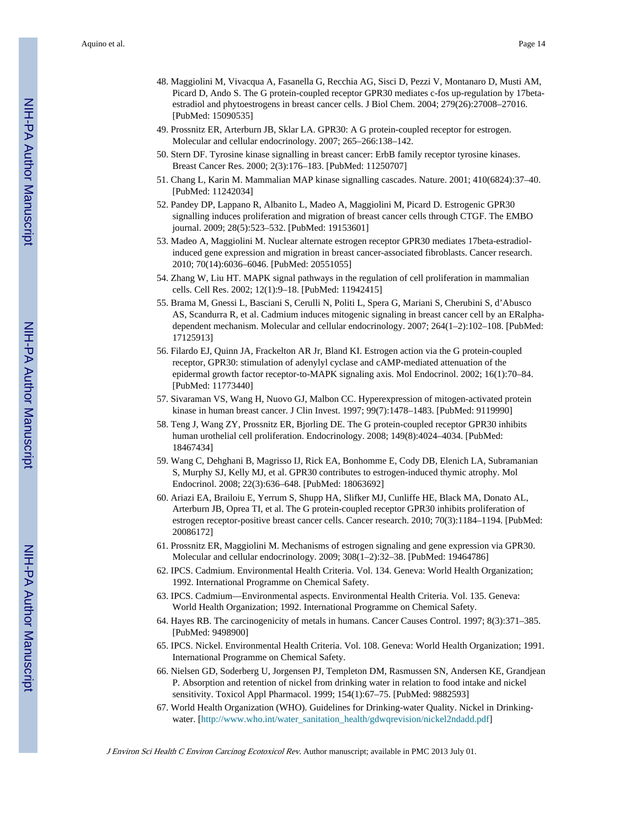- 48. Maggiolini M, Vivacqua A, Fasanella G, Recchia AG, Sisci D, Pezzi V, Montanaro D, Musti AM, Picard D, Ando S. The G protein-coupled receptor GPR30 mediates c-fos up-regulation by 17betaestradiol and phytoestrogens in breast cancer cells. J Biol Chem. 2004; 279(26):27008–27016. [PubMed: 15090535]
- 49. Prossnitz ER, Arterburn JB, Sklar LA. GPR30: A G protein-coupled receptor for estrogen. Molecular and cellular endocrinology. 2007; 265–266:138–142.
- 50. Stern DF. Tyrosine kinase signalling in breast cancer: ErbB family receptor tyrosine kinases. Breast Cancer Res. 2000; 2(3):176–183. [PubMed: 11250707]
- 51. Chang L, Karin M. Mammalian MAP kinase signalling cascades. Nature. 2001; 410(6824):37–40. [PubMed: 11242034]
- 52. Pandey DP, Lappano R, Albanito L, Madeo A, Maggiolini M, Picard D. Estrogenic GPR30 signalling induces proliferation and migration of breast cancer cells through CTGF. The EMBO journal. 2009; 28(5):523–532. [PubMed: 19153601]
- 53. Madeo A, Maggiolini M. Nuclear alternate estrogen receptor GPR30 mediates 17beta-estradiolinduced gene expression and migration in breast cancer-associated fibroblasts. Cancer research. 2010; 70(14):6036–6046. [PubMed: 20551055]
- 54. Zhang W, Liu HT. MAPK signal pathways in the regulation of cell proliferation in mammalian cells. Cell Res. 2002; 12(1):9–18. [PubMed: 11942415]
- 55. Brama M, Gnessi L, Basciani S, Cerulli N, Politi L, Spera G, Mariani S, Cherubini S, d'Abusco AS, Scandurra R, et al. Cadmium induces mitogenic signaling in breast cancer cell by an ERalphadependent mechanism. Molecular and cellular endocrinology. 2007; 264(1–2):102–108. [PubMed: 17125913]
- 56. Filardo EJ, Quinn JA, Frackelton AR Jr, Bland KI. Estrogen action via the G protein-coupled receptor, GPR30: stimulation of adenylyl cyclase and cAMP-mediated attenuation of the epidermal growth factor receptor-to-MAPK signaling axis. Mol Endocrinol. 2002; 16(1):70–84. [PubMed: 11773440]
- 57. Sivaraman VS, Wang H, Nuovo GJ, Malbon CC. Hyperexpression of mitogen-activated protein kinase in human breast cancer. J Clin Invest. 1997; 99(7):1478–1483. [PubMed: 9119990]
- 58. Teng J, Wang ZY, Prossnitz ER, Bjorling DE. The G protein-coupled receptor GPR30 inhibits human urothelial cell proliferation. Endocrinology. 2008; 149(8):4024–4034. [PubMed: 18467434]
- 59. Wang C, Dehghani B, Magrisso IJ, Rick EA, Bonhomme E, Cody DB, Elenich LA, Subramanian S, Murphy SJ, Kelly MJ, et al. GPR30 contributes to estrogen-induced thymic atrophy. Mol Endocrinol. 2008; 22(3):636–648. [PubMed: 18063692]
- 60. Ariazi EA, Brailoiu E, Yerrum S, Shupp HA, Slifker MJ, Cunliffe HE, Black MA, Donato AL, Arterburn JB, Oprea TI, et al. The G protein-coupled receptor GPR30 inhibits proliferation of estrogen receptor-positive breast cancer cells. Cancer research. 2010; 70(3):1184–1194. [PubMed: 20086172]
- 61. Prossnitz ER, Maggiolini M. Mechanisms of estrogen signaling and gene expression via GPR30. Molecular and cellular endocrinology. 2009; 308(1–2):32–38. [PubMed: 19464786]
- 62. IPCS. Cadmium. Environmental Health Criteria. Vol. 134. Geneva: World Health Organization; 1992. International Programme on Chemical Safety.
- 63. IPCS. Cadmium—Environmental aspects. Environmental Health Criteria. Vol. 135. Geneva: World Health Organization; 1992. International Programme on Chemical Safety.
- 64. Hayes RB. The carcinogenicity of metals in humans. Cancer Causes Control. 1997; 8(3):371–385. [PubMed: 9498900]
- 65. IPCS. Nickel. Environmental Health Criteria. Vol. 108. Geneva: World Health Organization; 1991. International Programme on Chemical Safety.
- 66. Nielsen GD, Soderberg U, Jorgensen PJ, Templeton DM, Rasmussen SN, Andersen KE, Grandjean P. Absorption and retention of nickel from drinking water in relation to food intake and nickel sensitivity. Toxicol Appl Pharmacol. 1999; 154(1):67–75. [PubMed: 9882593]
- 67. World Health Organization (WHO). Guidelines for Drinking-water Quality. Nickel in Drinkingwater. [\[http://www.who.int/water\\_sanitation\\_health/gdwqrevision/nickel2ndadd.pdf](http://www.who.int/water_sanitation_health/gdwqrevision/nickel2ndadd.pdf)]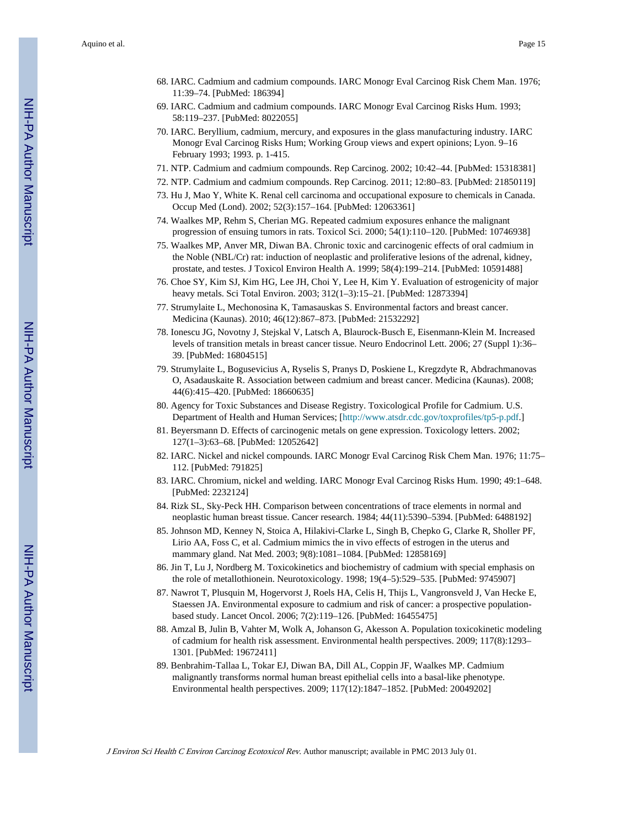Aquino et al. Page 15

- 68. IARC. Cadmium and cadmium compounds. IARC Monogr Eval Carcinog Risk Chem Man. 1976; 11:39–74. [PubMed: 186394]
- 69. IARC. Cadmium and cadmium compounds. IARC Monogr Eval Carcinog Risks Hum. 1993; 58:119–237. [PubMed: 8022055]
- 70. IARC. Beryllium, cadmium, mercury, and exposures in the glass manufacturing industry. IARC Monogr Eval Carcinog Risks Hum; Working Group views and expert opinions; Lyon. 9–16 February 1993; 1993. p. 1-415.
- 71. NTP. Cadmium and cadmium compounds. Rep Carcinog. 2002; 10:42–44. [PubMed: 15318381]
- 72. NTP. Cadmium and cadmium compounds. Rep Carcinog. 2011; 12:80–83. [PubMed: 21850119]
- 73. Hu J, Mao Y, White K. Renal cell carcinoma and occupational exposure to chemicals in Canada. Occup Med (Lond). 2002; 52(3):157–164. [PubMed: 12063361]
- 74. Waalkes MP, Rehm S, Cherian MG. Repeated cadmium exposures enhance the malignant progression of ensuing tumors in rats. Toxicol Sci. 2000; 54(1):110–120. [PubMed: 10746938]
- 75. Waalkes MP, Anver MR, Diwan BA. Chronic toxic and carcinogenic effects of oral cadmium in the Noble (NBL/Cr) rat: induction of neoplastic and proliferative lesions of the adrenal, kidney, prostate, and testes. J Toxicol Environ Health A. 1999; 58(4):199–214. [PubMed: 10591488]
- 76. Choe SY, Kim SJ, Kim HG, Lee JH, Choi Y, Lee H, Kim Y. Evaluation of estrogenicity of major heavy metals. Sci Total Environ. 2003; 312(1–3):15–21. [PubMed: 12873394]
- 77. Strumylaite L, Mechonosina K, Tamasauskas S. Environmental factors and breast cancer. Medicina (Kaunas). 2010; 46(12):867–873. [PubMed: 21532292]
- 78. Ionescu JG, Novotny J, Stejskal V, Latsch A, Blaurock-Busch E, Eisenmann-Klein M. Increased levels of transition metals in breast cancer tissue. Neuro Endocrinol Lett. 2006; 27 (Suppl 1):36– 39. [PubMed: 16804515]
- 79. Strumylaite L, Bogusevicius A, Ryselis S, Pranys D, Poskiene L, Kregzdyte R, Abdrachmanovas O, Asadauskaite R. Association between cadmium and breast cancer. Medicina (Kaunas). 2008; 44(6):415–420. [PubMed: 18660635]
- 80. Agency for Toxic Substances and Disease Registry. Toxicological Profile for Cadmium. U.S. Department of Health and Human Services; [<http://www.atsdr.cdc.gov/toxprofiles/tp5-p.pdf>.]
- 81. Beyersmann D. Effects of carcinogenic metals on gene expression. Toxicology letters. 2002; 127(1–3):63–68. [PubMed: 12052642]
- 82. IARC. Nickel and nickel compounds. IARC Monogr Eval Carcinog Risk Chem Man. 1976; 11:75– 112. [PubMed: 791825]
- 83. IARC. Chromium, nickel and welding. IARC Monogr Eval Carcinog Risks Hum. 1990; 49:1–648. [PubMed: 2232124]
- 84. Rizk SL, Sky-Peck HH. Comparison between concentrations of trace elements in normal and neoplastic human breast tissue. Cancer research. 1984; 44(11):5390–5394. [PubMed: 6488192]
- 85. Johnson MD, Kenney N, Stoica A, Hilakivi-Clarke L, Singh B, Chepko G, Clarke R, Sholler PF, Lirio AA, Foss C, et al. Cadmium mimics the in vivo effects of estrogen in the uterus and mammary gland. Nat Med. 2003; 9(8):1081–1084. [PubMed: 12858169]
- 86. Jin T, Lu J, Nordberg M. Toxicokinetics and biochemistry of cadmium with special emphasis on the role of metallothionein. Neurotoxicology. 1998; 19(4–5):529–535. [PubMed: 9745907]
- 87. Nawrot T, Plusquin M, Hogervorst J, Roels HA, Celis H, Thijs L, Vangronsveld J, Van Hecke E, Staessen JA. Environmental exposure to cadmium and risk of cancer: a prospective populationbased study. Lancet Oncol. 2006; 7(2):119–126. [PubMed: 16455475]
- 88. Amzal B, Julin B, Vahter M, Wolk A, Johanson G, Akesson A. Population toxicokinetic modeling of cadmium for health risk assessment. Environmental health perspectives. 2009; 117(8):1293– 1301. [PubMed: 19672411]
- 89. Benbrahim-Tallaa L, Tokar EJ, Diwan BA, Dill AL, Coppin JF, Waalkes MP. Cadmium malignantly transforms normal human breast epithelial cells into a basal-like phenotype. Environmental health perspectives. 2009; 117(12):1847–1852. [PubMed: 20049202]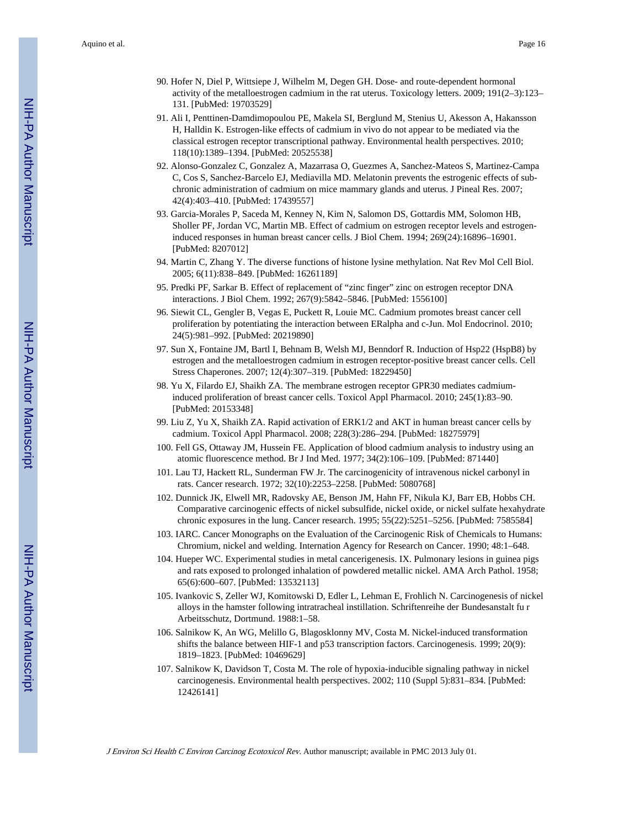- 90. Hofer N, Diel P, Wittsiepe J, Wilhelm M, Degen GH. Dose- and route-dependent hormonal activity of the metalloestrogen cadmium in the rat uterus. Toxicology letters. 2009; 191(2–3):123– 131. [PubMed: 19703529]
- 91. Ali I, Penttinen-Damdimopoulou PE, Makela SI, Berglund M, Stenius U, Akesson A, Hakansson H, Halldin K. Estrogen-like effects of cadmium in vivo do not appear to be mediated via the classical estrogen receptor transcriptional pathway. Environmental health perspectives. 2010; 118(10):1389–1394. [PubMed: 20525538]
- 92. Alonso-Gonzalez C, Gonzalez A, Mazarrasa O, Guezmes A, Sanchez-Mateos S, Martinez-Campa C, Cos S, Sanchez-Barcelo EJ, Mediavilla MD. Melatonin prevents the estrogenic effects of subchronic administration of cadmium on mice mammary glands and uterus. J Pineal Res. 2007; 42(4):403–410. [PubMed: 17439557]
- 93. Garcia-Morales P, Saceda M, Kenney N, Kim N, Salomon DS, Gottardis MM, Solomon HB, Sholler PF, Jordan VC, Martin MB. Effect of cadmium on estrogen receptor levels and estrogeninduced responses in human breast cancer cells. J Biol Chem. 1994; 269(24):16896–16901. [PubMed: 8207012]
- 94. Martin C, Zhang Y. The diverse functions of histone lysine methylation. Nat Rev Mol Cell Biol. 2005; 6(11):838–849. [PubMed: 16261189]
- 95. Predki PF, Sarkar B. Effect of replacement of "zinc finger" zinc on estrogen receptor DNA interactions. J Biol Chem. 1992; 267(9):5842–5846. [PubMed: 1556100]
- 96. Siewit CL, Gengler B, Vegas E, Puckett R, Louie MC. Cadmium promotes breast cancer cell proliferation by potentiating the interaction between ERalpha and c-Jun. Mol Endocrinol. 2010; 24(5):981–992. [PubMed: 20219890]
- 97. Sun X, Fontaine JM, Bartl I, Behnam B, Welsh MJ, Benndorf R. Induction of Hsp22 (HspB8) by estrogen and the metalloestrogen cadmium in estrogen receptor-positive breast cancer cells. Cell Stress Chaperones. 2007; 12(4):307–319. [PubMed: 18229450]
- 98. Yu X, Filardo EJ, Shaikh ZA. The membrane estrogen receptor GPR30 mediates cadmiuminduced proliferation of breast cancer cells. Toxicol Appl Pharmacol. 2010; 245(1):83–90. [PubMed: 20153348]
- 99. Liu Z, Yu X, Shaikh ZA. Rapid activation of ERK1/2 and AKT in human breast cancer cells by cadmium. Toxicol Appl Pharmacol. 2008; 228(3):286–294. [PubMed: 18275979]
- 100. Fell GS, Ottaway JM, Hussein FE. Application of blood cadmium analysis to industry using an atomic fluorescence method. Br J Ind Med. 1977; 34(2):106–109. [PubMed: 871440]
- 101. Lau TJ, Hackett RL, Sunderman FW Jr. The carcinogenicity of intravenous nickel carbonyl in rats. Cancer research. 1972; 32(10):2253–2258. [PubMed: 5080768]
- 102. Dunnick JK, Elwell MR, Radovsky AE, Benson JM, Hahn FF, Nikula KJ, Barr EB, Hobbs CH. Comparative carcinogenic effects of nickel subsulfide, nickel oxide, or nickel sulfate hexahydrate chronic exposures in the lung. Cancer research. 1995; 55(22):5251–5256. [PubMed: 7585584]
- 103. IARC. Cancer Monographs on the Evaluation of the Carcinogenic Risk of Chemicals to Humans: Chromium, nickel and welding. Internation Agency for Research on Cancer. 1990; 48:1–648.
- 104. Hueper WC. Experimental studies in metal cancerigenesis. IX. Pulmonary lesions in guinea pigs and rats exposed to prolonged inhalation of powdered metallic nickel. AMA Arch Pathol. 1958; 65(6):600–607. [PubMed: 13532113]
- 105. Ivankovic S, Zeller WJ, Komitowski D, Edler L, Lehman E, Frohlich N. Carcinogenesis of nickel alloys in the hamster following intratracheal instillation. Schriftenreihe der Bundesanstalt fu r Arbeitsschutz, Dortmund. 1988:1–58.
- 106. Salnikow K, An WG, Melillo G, Blagosklonny MV, Costa M. Nickel-induced transformation shifts the balance between HIF-1 and p53 transcription factors. Carcinogenesis. 1999; 20(9): 1819–1823. [PubMed: 10469629]
- 107. Salnikow K, Davidson T, Costa M. The role of hypoxia-inducible signaling pathway in nickel carcinogenesis. Environmental health perspectives. 2002; 110 (Suppl 5):831–834. [PubMed: 12426141]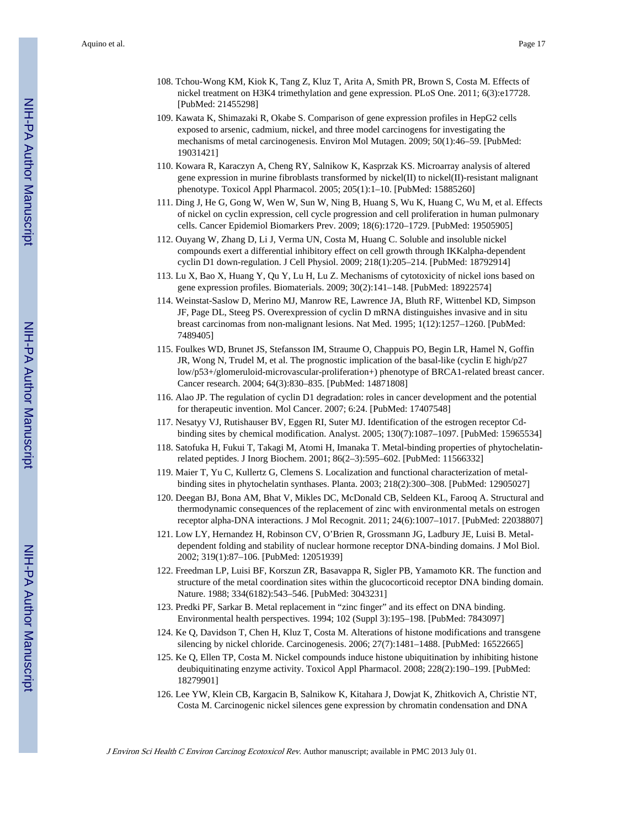- 108. Tchou-Wong KM, Kiok K, Tang Z, Kluz T, Arita A, Smith PR, Brown S, Costa M. Effects of nickel treatment on H3K4 trimethylation and gene expression. PLoS One. 2011; 6(3):e17728. [PubMed: 21455298]
- 109. Kawata K, Shimazaki R, Okabe S. Comparison of gene expression profiles in HepG2 cells exposed to arsenic, cadmium, nickel, and three model carcinogens for investigating the mechanisms of metal carcinogenesis. Environ Mol Mutagen. 2009; 50(1):46–59. [PubMed: 19031421]
- 110. Kowara R, Karaczyn A, Cheng RY, Salnikow K, Kasprzak KS. Microarray analysis of altered gene expression in murine fibroblasts transformed by nickel(II) to nickel(II)-resistant malignant phenotype. Toxicol Appl Pharmacol. 2005; 205(1):1–10. [PubMed: 15885260]
- 111. Ding J, He G, Gong W, Wen W, Sun W, Ning B, Huang S, Wu K, Huang C, Wu M, et al. Effects of nickel on cyclin expression, cell cycle progression and cell proliferation in human pulmonary cells. Cancer Epidemiol Biomarkers Prev. 2009; 18(6):1720–1729. [PubMed: 19505905]
- 112. Ouyang W, Zhang D, Li J, Verma UN, Costa M, Huang C. Soluble and insoluble nickel compounds exert a differential inhibitory effect on cell growth through IKKalpha-dependent cyclin D1 down-regulation. J Cell Physiol. 2009; 218(1):205–214. [PubMed: 18792914]
- 113. Lu X, Bao X, Huang Y, Qu Y, Lu H, Lu Z. Mechanisms of cytotoxicity of nickel ions based on gene expression profiles. Biomaterials. 2009; 30(2):141–148. [PubMed: 18922574]
- 114. Weinstat-Saslow D, Merino MJ, Manrow RE, Lawrence JA, Bluth RF, Wittenbel KD, Simpson JF, Page DL, Steeg PS. Overexpression of cyclin D mRNA distinguishes invasive and in situ breast carcinomas from non-malignant lesions. Nat Med. 1995; 1(12):1257–1260. [PubMed: 7489405]
- 115. Foulkes WD, Brunet JS, Stefansson IM, Straume O, Chappuis PO, Begin LR, Hamel N, Goffin JR, Wong N, Trudel M, et al. The prognostic implication of the basal-like (cyclin E high/p27 low/p53+/glomeruloid-microvascular-proliferation+) phenotype of BRCA1-related breast cancer. Cancer research. 2004; 64(3):830–835. [PubMed: 14871808]
- 116. Alao JP. The regulation of cyclin D1 degradation: roles in cancer development and the potential for therapeutic invention. Mol Cancer. 2007; 6:24. [PubMed: 17407548]
- 117. Nesatyy VJ, Rutishauser BV, Eggen RI, Suter MJ. Identification of the estrogen receptor Cdbinding sites by chemical modification. Analyst. 2005; 130(7):1087–1097. [PubMed: 15965534]
- 118. Satofuka H, Fukui T, Takagi M, Atomi H, Imanaka T. Metal-binding properties of phytochelatinrelated peptides. J Inorg Biochem. 2001; 86(2–3):595–602. [PubMed: 11566332]
- 119. Maier T, Yu C, Kullertz G, Clemens S. Localization and functional characterization of metalbinding sites in phytochelatin synthases. Planta. 2003; 218(2):300–308. [PubMed: 12905027]
- 120. Deegan BJ, Bona AM, Bhat V, Mikles DC, McDonald CB, Seldeen KL, Farooq A. Structural and thermodynamic consequences of the replacement of zinc with environmental metals on estrogen receptor alpha-DNA interactions. J Mol Recognit. 2011; 24(6):1007–1017. [PubMed: 22038807]
- 121. Low LY, Hernandez H, Robinson CV, O'Brien R, Grossmann JG, Ladbury JE, Luisi B. Metaldependent folding and stability of nuclear hormone receptor DNA-binding domains. J Mol Biol. 2002; 319(1):87–106. [PubMed: 12051939]
- 122. Freedman LP, Luisi BF, Korszun ZR, Basavappa R, Sigler PB, Yamamoto KR. The function and structure of the metal coordination sites within the glucocorticoid receptor DNA binding domain. Nature. 1988; 334(6182):543–546. [PubMed: 3043231]
- 123. Predki PF, Sarkar B. Metal replacement in "zinc finger" and its effect on DNA binding. Environmental health perspectives. 1994; 102 (Suppl 3):195–198. [PubMed: 7843097]
- 124. Ke Q, Davidson T, Chen H, Kluz T, Costa M. Alterations of histone modifications and transgene silencing by nickel chloride. Carcinogenesis. 2006; 27(7):1481–1488. [PubMed: 16522665]
- 125. Ke Q, Ellen TP, Costa M. Nickel compounds induce histone ubiquitination by inhibiting histone deubiquitinating enzyme activity. Toxicol Appl Pharmacol. 2008; 228(2):190–199. [PubMed: 18279901]
- 126. Lee YW, Klein CB, Kargacin B, Salnikow K, Kitahara J, Dowjat K, Zhitkovich A, Christie NT, Costa M. Carcinogenic nickel silences gene expression by chromatin condensation and DNA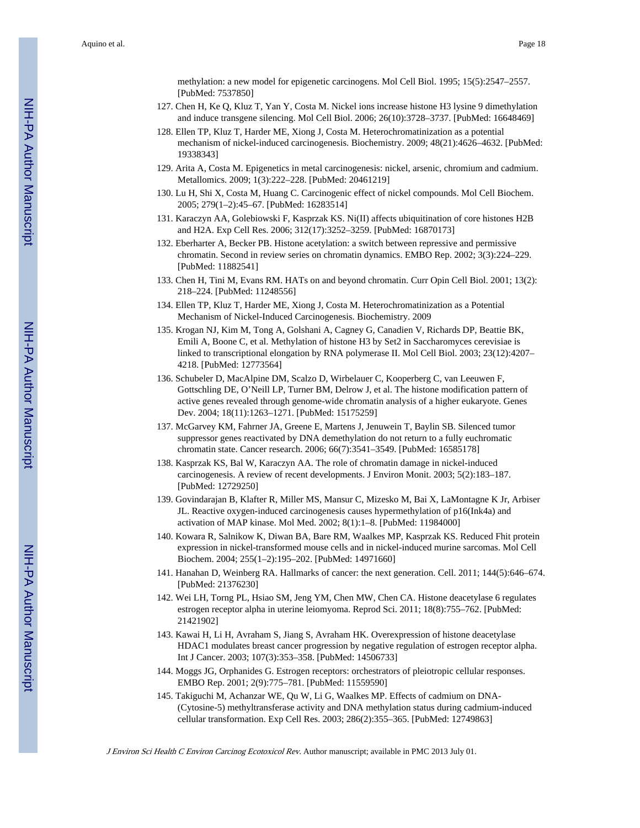methylation: a new model for epigenetic carcinogens. Mol Cell Biol. 1995; 15(5):2547–2557. [PubMed: 7537850]

- 127. Chen H, Ke Q, Kluz T, Yan Y, Costa M. Nickel ions increase histone H3 lysine 9 dimethylation and induce transgene silencing. Mol Cell Biol. 2006; 26(10):3728–3737. [PubMed: 16648469]
- 128. Ellen TP, Kluz T, Harder ME, Xiong J, Costa M. Heterochromatinization as a potential mechanism of nickel-induced carcinogenesis. Biochemistry. 2009; 48(21):4626–4632. [PubMed: 19338343]
- 129. Arita A, Costa M. Epigenetics in metal carcinogenesis: nickel, arsenic, chromium and cadmium. Metallomics. 2009; 1(3):222–228. [PubMed: 20461219]
- 130. Lu H, Shi X, Costa M, Huang C. Carcinogenic effect of nickel compounds. Mol Cell Biochem. 2005; 279(1–2):45–67. [PubMed: 16283514]
- 131. Karaczyn AA, Golebiowski F, Kasprzak KS. Ni(II) affects ubiquitination of core histones H2B and H2A. Exp Cell Res. 2006; 312(17):3252–3259. [PubMed: 16870173]
- 132. Eberharter A, Becker PB. Histone acetylation: a switch between repressive and permissive chromatin. Second in review series on chromatin dynamics. EMBO Rep. 2002; 3(3):224–229. [PubMed: 11882541]
- 133. Chen H, Tini M, Evans RM. HATs on and beyond chromatin. Curr Opin Cell Biol. 2001; 13(2): 218–224. [PubMed: 11248556]
- 134. Ellen TP, Kluz T, Harder ME, Xiong J, Costa M. Heterochromatinization as a Potential Mechanism of Nickel-Induced Carcinogenesis. Biochemistry. 2009
- 135. Krogan NJ, Kim M, Tong A, Golshani A, Cagney G, Canadien V, Richards DP, Beattie BK, Emili A, Boone C, et al. Methylation of histone H3 by Set2 in Saccharomyces cerevisiae is linked to transcriptional elongation by RNA polymerase II. Mol Cell Biol. 2003; 23(12):4207– 4218. [PubMed: 12773564]
- 136. Schubeler D, MacAlpine DM, Scalzo D, Wirbelauer C, Kooperberg C, van Leeuwen F, Gottschling DE, O'Neill LP, Turner BM, Delrow J, et al. The histone modification pattern of active genes revealed through genome-wide chromatin analysis of a higher eukaryote. Genes Dev. 2004; 18(11):1263–1271. [PubMed: 15175259]
- 137. McGarvey KM, Fahrner JA, Greene E, Martens J, Jenuwein T, Baylin SB. Silenced tumor suppressor genes reactivated by DNA demethylation do not return to a fully euchromatic chromatin state. Cancer research. 2006; 66(7):3541–3549. [PubMed: 16585178]
- 138. Kasprzak KS, Bal W, Karaczyn AA. The role of chromatin damage in nickel-induced carcinogenesis. A review of recent developments. J Environ Monit. 2003; 5(2):183–187. [PubMed: 12729250]
- 139. Govindarajan B, Klafter R, Miller MS, Mansur C, Mizesko M, Bai X, LaMontagne K Jr, Arbiser JL. Reactive oxygen-induced carcinogenesis causes hypermethylation of p16(Ink4a) and activation of MAP kinase. Mol Med. 2002; 8(1):1–8. [PubMed: 11984000]
- 140. Kowara R, Salnikow K, Diwan BA, Bare RM, Waalkes MP, Kasprzak KS. Reduced Fhit protein expression in nickel-transformed mouse cells and in nickel-induced murine sarcomas. Mol Cell Biochem. 2004; 255(1–2):195–202. [PubMed: 14971660]
- 141. Hanahan D, Weinberg RA. Hallmarks of cancer: the next generation. Cell. 2011; 144(5):646–674. [PubMed: 21376230]
- 142. Wei LH, Torng PL, Hsiao SM, Jeng YM, Chen MW, Chen CA. Histone deacetylase 6 regulates estrogen receptor alpha in uterine leiomyoma. Reprod Sci. 2011; 18(8):755–762. [PubMed: 21421902]
- 143. Kawai H, Li H, Avraham S, Jiang S, Avraham HK. Overexpression of histone deacetylase HDAC1 modulates breast cancer progression by negative regulation of estrogen receptor alpha. Int J Cancer. 2003; 107(3):353–358. [PubMed: 14506733]
- 144. Moggs JG, Orphanides G. Estrogen receptors: orchestrators of pleiotropic cellular responses. EMBO Rep. 2001; 2(9):775–781. [PubMed: 11559590]
- 145. Takiguchi M, Achanzar WE, Qu W, Li G, Waalkes MP. Effects of cadmium on DNA- (Cytosine-5) methyltransferase activity and DNA methylation status during cadmium-induced cellular transformation. Exp Cell Res. 2003; 286(2):355–365. [PubMed: 12749863]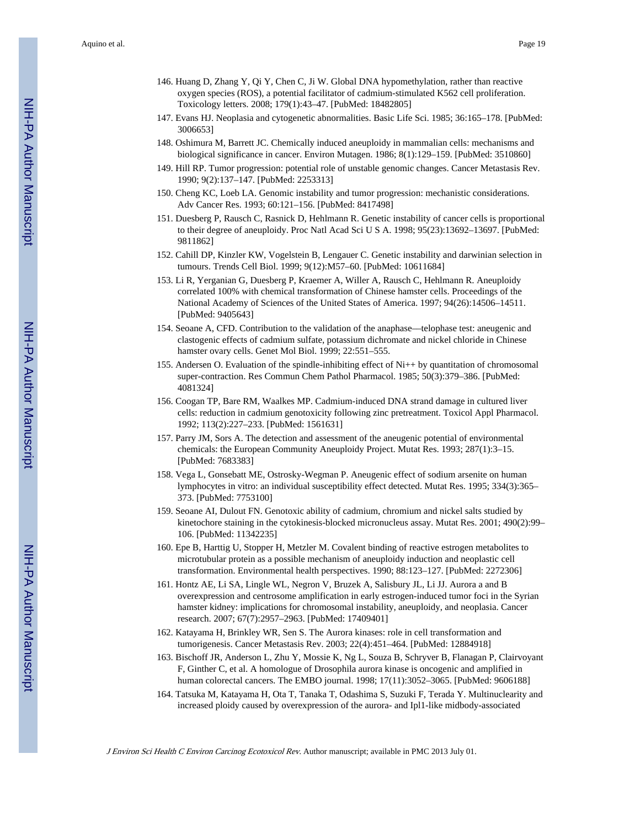Aquino et al. Page 19

- 146. Huang D, Zhang Y, Qi Y, Chen C, Ji W. Global DNA hypomethylation, rather than reactive oxygen species (ROS), a potential facilitator of cadmium-stimulated K562 cell proliferation. Toxicology letters. 2008; 179(1):43–47. [PubMed: 18482805]
- 147. Evans HJ. Neoplasia and cytogenetic abnormalities. Basic Life Sci. 1985; 36:165–178. [PubMed: 3006653]
- 148. Oshimura M, Barrett JC. Chemically induced aneuploidy in mammalian cells: mechanisms and biological significance in cancer. Environ Mutagen. 1986; 8(1):129–159. [PubMed: 3510860]
- 149. Hill RP. Tumor progression: potential role of unstable genomic changes. Cancer Metastasis Rev. 1990; 9(2):137–147. [PubMed: 2253313]
- 150. Cheng KC, Loeb LA. Genomic instability and tumor progression: mechanistic considerations. Adv Cancer Res. 1993; 60:121–156. [PubMed: 8417498]
- 151. Duesberg P, Rausch C, Rasnick D, Hehlmann R. Genetic instability of cancer cells is proportional to their degree of aneuploidy. Proc Natl Acad Sci U S A. 1998; 95(23):13692–13697. [PubMed: 9811862]
- 152. Cahill DP, Kinzler KW, Vogelstein B, Lengauer C. Genetic instability and darwinian selection in tumours. Trends Cell Biol. 1999; 9(12):M57–60. [PubMed: 10611684]
- 153. Li R, Yerganian G, Duesberg P, Kraemer A, Willer A, Rausch C, Hehlmann R. Aneuploidy correlated 100% with chemical transformation of Chinese hamster cells. Proceedings of the National Academy of Sciences of the United States of America. 1997; 94(26):14506–14511. [PubMed: 9405643]
- 154. Seoane A, CFD. Contribution to the validation of the anaphase––telophase test: aneugenic and clastogenic effects of cadmium sulfate, potassium dichromate and nickel chloride in Chinese hamster ovary cells. Genet Mol Biol. 1999; 22:551–555.
- 155. Andersen O. Evaluation of the spindle-inhibiting effect of  $Ni++$  by quantitation of chromosomal super-contraction. Res Commun Chem Pathol Pharmacol. 1985; 50(3):379–386. [PubMed: 4081324]
- 156. Coogan TP, Bare RM, Waalkes MP. Cadmium-induced DNA strand damage in cultured liver cells: reduction in cadmium genotoxicity following zinc pretreatment. Toxicol Appl Pharmacol. 1992; 113(2):227–233. [PubMed: 1561631]
- 157. Parry JM, Sors A. The detection and assessment of the aneugenic potential of environmental chemicals: the European Community Aneuploidy Project. Mutat Res. 1993; 287(1):3–15. [PubMed: 7683383]
- 158. Vega L, Gonsebatt ME, Ostrosky-Wegman P. Aneugenic effect of sodium arsenite on human lymphocytes in vitro: an individual susceptibility effect detected. Mutat Res. 1995; 334(3):365– 373. [PubMed: 7753100]
- 159. Seoane AI, Dulout FN. Genotoxic ability of cadmium, chromium and nickel salts studied by kinetochore staining in the cytokinesis-blocked micronucleus assay. Mutat Res. 2001; 490(2):99– 106. [PubMed: 11342235]
- 160. Epe B, Harttig U, Stopper H, Metzler M. Covalent binding of reactive estrogen metabolites to microtubular protein as a possible mechanism of aneuploidy induction and neoplastic cell transformation. Environmental health perspectives. 1990; 88:123–127. [PubMed: 2272306]
- 161. Hontz AE, Li SA, Lingle WL, Negron V, Bruzek A, Salisbury JL, Li JJ. Aurora a and B overexpression and centrosome amplification in early estrogen-induced tumor foci in the Syrian hamster kidney: implications for chromosomal instability, aneuploidy, and neoplasia. Cancer research. 2007; 67(7):2957–2963. [PubMed: 17409401]
- 162. Katayama H, Brinkley WR, Sen S. The Aurora kinases: role in cell transformation and tumorigenesis. Cancer Metastasis Rev. 2003; 22(4):451–464. [PubMed: 12884918]
- 163. Bischoff JR, Anderson L, Zhu Y, Mossie K, Ng L, Souza B, Schryver B, Flanagan P, Clairvoyant F, Ginther C, et al. A homologue of Drosophila aurora kinase is oncogenic and amplified in human colorectal cancers. The EMBO journal. 1998; 17(11):3052–3065. [PubMed: 9606188]
- 164. Tatsuka M, Katayama H, Ota T, Tanaka T, Odashima S, Suzuki F, Terada Y. Multinuclearity and increased ploidy caused by overexpression of the aurora- and Ipl1-like midbody-associated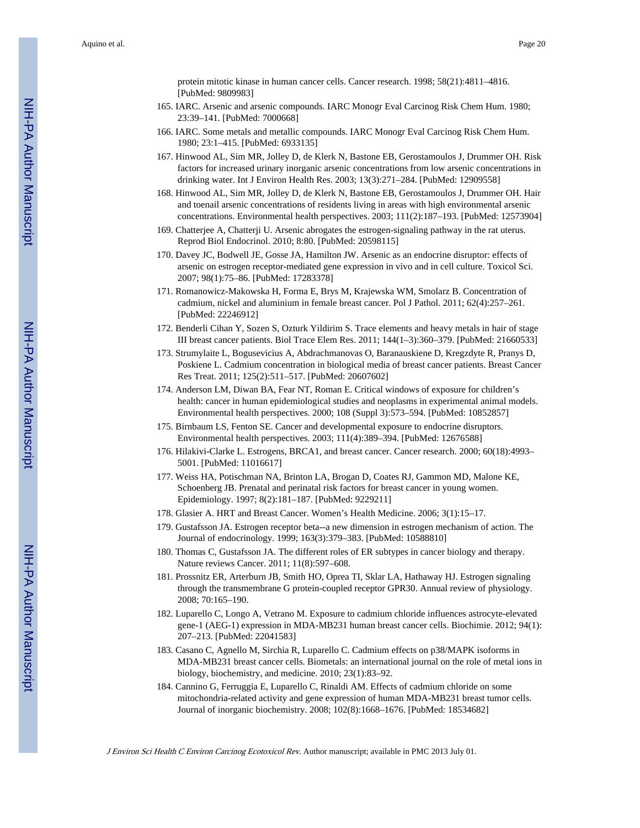protein mitotic kinase in human cancer cells. Cancer research. 1998; 58(21):4811–4816. [PubMed: 9809983]

- 165. IARC. Arsenic and arsenic compounds. IARC Monogr Eval Carcinog Risk Chem Hum. 1980; 23:39–141. [PubMed: 7000668]
- 166. IARC. Some metals and metallic compounds. IARC Monogr Eval Carcinog Risk Chem Hum. 1980; 23:1–415. [PubMed: 6933135]
- 167. Hinwood AL, Sim MR, Jolley D, de Klerk N, Bastone EB, Gerostamoulos J, Drummer OH. Risk factors for increased urinary inorganic arsenic concentrations from low arsenic concentrations in drinking water. Int J Environ Health Res. 2003; 13(3):271–284. [PubMed: 12909558]
- 168. Hinwood AL, Sim MR, Jolley D, de Klerk N, Bastone EB, Gerostamoulos J, Drummer OH. Hair and toenail arsenic concentrations of residents living in areas with high environmental arsenic concentrations. Environmental health perspectives. 2003; 111(2):187–193. [PubMed: 12573904]
- 169. Chatterjee A, Chatterji U. Arsenic abrogates the estrogen-signaling pathway in the rat uterus. Reprod Biol Endocrinol. 2010; 8:80. [PubMed: 20598115]
- 170. Davey JC, Bodwell JE, Gosse JA, Hamilton JW. Arsenic as an endocrine disruptor: effects of arsenic on estrogen receptor-mediated gene expression in vivo and in cell culture. Toxicol Sci. 2007; 98(1):75–86. [PubMed: 17283378]
- 171. Romanowicz-Makowska H, Forma E, Brys M, Krajewska WM, Smolarz B. Concentration of cadmium, nickel and aluminium in female breast cancer. Pol J Pathol. 2011; 62(4):257–261. [PubMed: 22246912]
- 172. Benderli Cihan Y, Sozen S, Ozturk Yildirim S. Trace elements and heavy metals in hair of stage III breast cancer patients. Biol Trace Elem Res. 2011; 144(1–3):360–379. [PubMed: 21660533]
- 173. Strumylaite L, Bogusevicius A, Abdrachmanovas O, Baranauskiene D, Kregzdyte R, Pranys D, Poskiene L. Cadmium concentration in biological media of breast cancer patients. Breast Cancer Res Treat. 2011; 125(2):511–517. [PubMed: 20607602]
- 174. Anderson LM, Diwan BA, Fear NT, Roman E. Critical windows of exposure for children's health: cancer in human epidemiological studies and neoplasms in experimental animal models. Environmental health perspectives. 2000; 108 (Suppl 3):573–594. [PubMed: 10852857]
- 175. Birnbaum LS, Fenton SE. Cancer and developmental exposure to endocrine disruptors. Environmental health perspectives. 2003; 111(4):389–394. [PubMed: 12676588]
- 176. Hilakivi-Clarke L. Estrogens, BRCA1, and breast cancer. Cancer research. 2000; 60(18):4993– 5001. [PubMed: 11016617]
- 177. Weiss HA, Potischman NA, Brinton LA, Brogan D, Coates RJ, Gammon MD, Malone KE, Schoenberg JB. Prenatal and perinatal risk factors for breast cancer in young women. Epidemiology. 1997; 8(2):181–187. [PubMed: 9229211]
- 178. Glasier A. HRT and Breast Cancer. Women's Health Medicine. 2006; 3(1):15–17.
- 179. Gustafsson JA. Estrogen receptor beta--a new dimension in estrogen mechanism of action. The Journal of endocrinology. 1999; 163(3):379–383. [PubMed: 10588810]
- 180. Thomas C, Gustafsson JA. The different roles of ER subtypes in cancer biology and therapy. Nature reviews Cancer. 2011; 11(8):597–608.
- 181. Prossnitz ER, Arterburn JB, Smith HO, Oprea TI, Sklar LA, Hathaway HJ. Estrogen signaling through the transmembrane G protein-coupled receptor GPR30. Annual review of physiology. 2008; 70:165–190.
- 182. Luparello C, Longo A, Vetrano M. Exposure to cadmium chloride influences astrocyte-elevated gene-1 (AEG-1) expression in MDA-MB231 human breast cancer cells. Biochimie. 2012; 94(1): 207–213. [PubMed: 22041583]
- 183. Casano C, Agnello M, Sirchia R, Luparello C. Cadmium effects on p38/MAPK isoforms in MDA-MB231 breast cancer cells. Biometals: an international journal on the role of metal ions in biology, biochemistry, and medicine. 2010; 23(1):83–92.
- 184. Cannino G, Ferruggia E, Luparello C, Rinaldi AM. Effects of cadmium chloride on some mitochondria-related activity and gene expression of human MDA-MB231 breast tumor cells. Journal of inorganic biochemistry. 2008; 102(8):1668–1676. [PubMed: 18534682]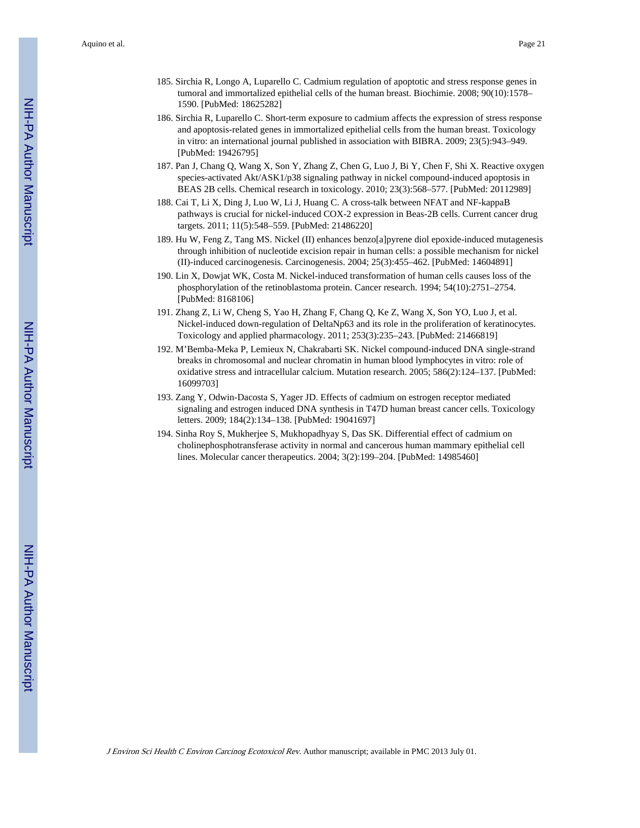- 185. Sirchia R, Longo A, Luparello C. Cadmium regulation of apoptotic and stress response genes in tumoral and immortalized epithelial cells of the human breast. Biochimie. 2008; 90(10):1578– 1590. [PubMed: 18625282]
- 186. Sirchia R, Luparello C. Short-term exposure to cadmium affects the expression of stress response and apoptosis-related genes in immortalized epithelial cells from the human breast. Toxicology in vitro: an international journal published in association with BIBRA. 2009; 23(5):943–949. [PubMed: 19426795]
- 187. Pan J, Chang Q, Wang X, Son Y, Zhang Z, Chen G, Luo J, Bi Y, Chen F, Shi X. Reactive oxygen species-activated Akt/ASK1/p38 signaling pathway in nickel compound-induced apoptosis in BEAS 2B cells. Chemical research in toxicology. 2010; 23(3):568–577. [PubMed: 20112989]
- 188. Cai T, Li X, Ding J, Luo W, Li J, Huang C. A cross-talk between NFAT and NF-kappaB pathways is crucial for nickel-induced COX-2 expression in Beas-2B cells. Current cancer drug targets. 2011; 11(5):548–559. [PubMed: 21486220]
- 189. Hu W, Feng Z, Tang MS. Nickel (II) enhances benzo[a]pyrene diol epoxide-induced mutagenesis through inhibition of nucleotide excision repair in human cells: a possible mechanism for nickel (II)-induced carcinogenesis. Carcinogenesis. 2004; 25(3):455–462. [PubMed: 14604891]
- 190. Lin X, Dowjat WK, Costa M. Nickel-induced transformation of human cells causes loss of the phosphorylation of the retinoblastoma protein. Cancer research. 1994; 54(10):2751–2754. [PubMed: 8168106]
- 191. Zhang Z, Li W, Cheng S, Yao H, Zhang F, Chang Q, Ke Z, Wang X, Son YO, Luo J, et al. Nickel-induced down-regulation of DeltaNp63 and its role in the proliferation of keratinocytes. Toxicology and applied pharmacology. 2011; 253(3):235–243. [PubMed: 21466819]
- 192. M'Bemba-Meka P, Lemieux N, Chakrabarti SK. Nickel compound-induced DNA single-strand breaks in chromosomal and nuclear chromatin in human blood lymphocytes in vitro: role of oxidative stress and intracellular calcium. Mutation research. 2005; 586(2):124–137. [PubMed: 16099703]
- 193. Zang Y, Odwin-Dacosta S, Yager JD. Effects of cadmium on estrogen receptor mediated signaling and estrogen induced DNA synthesis in T47D human breast cancer cells. Toxicology letters. 2009; 184(2):134–138. [PubMed: 19041697]
- 194. Sinha Roy S, Mukherjee S, Mukhopadhyay S, Das SK. Differential effect of cadmium on cholinephosphotransferase activity in normal and cancerous human mammary epithelial cell lines. Molecular cancer therapeutics. 2004; 3(2):199–204. [PubMed: 14985460]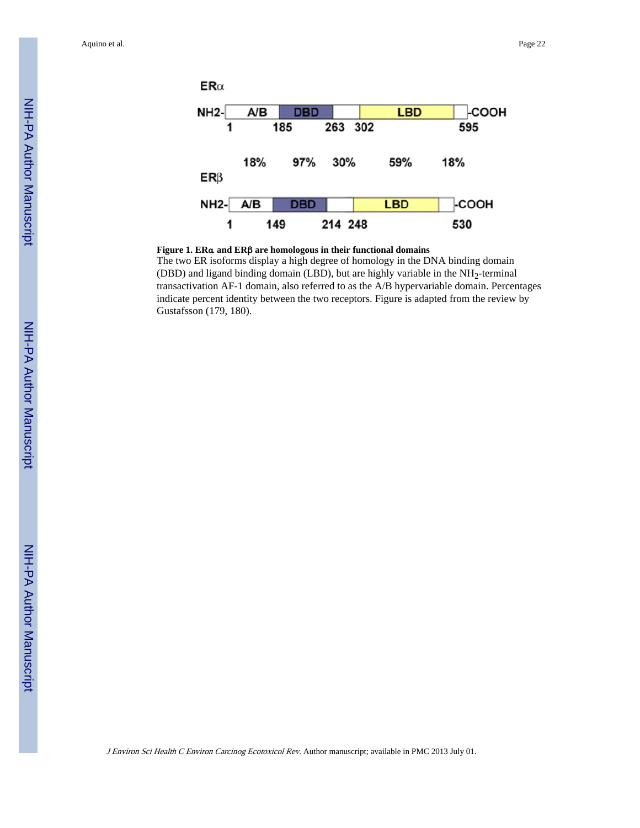Aquino et al. Page 22





The two ER isoforms display a high degree of homology in the DNA binding domain (DBD) and ligand binding domain (LBD), but are highly variable in the  $NH<sub>2</sub>$ -terminal transactivation AF-1 domain, also referred to as the A/B hypervariable domain. Percentages indicate percent identity between the two receptors. Figure is adapted from the review by Gustafsson (179, 180).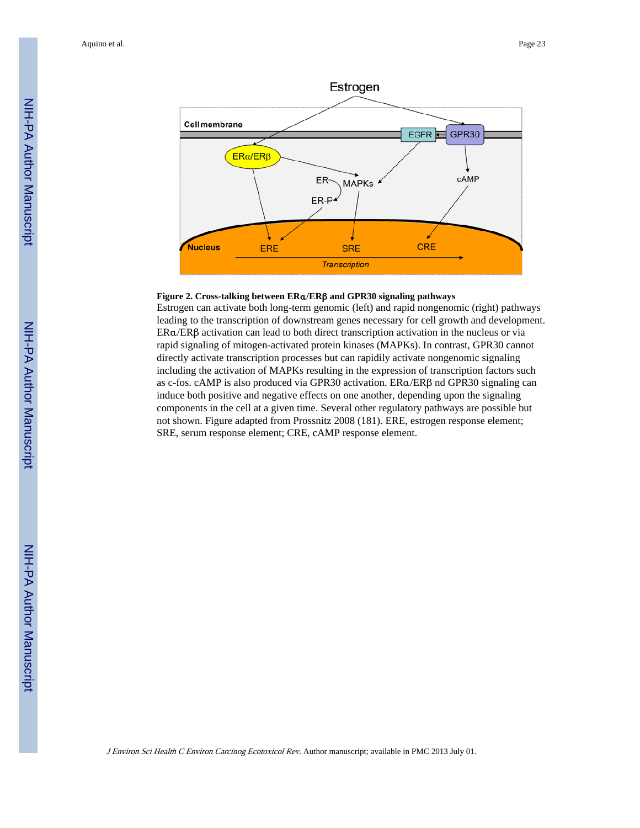

#### **Figure 2. Cross-talking between ER**α**/ER**β **and GPR30 signaling pathways**

Estrogen can activate both long-term genomic (left) and rapid nongenomic (right) pathways leading to the transcription of downstream genes necessary for cell growth and development. ERα/ERβ activation can lead to both direct transcription activation in the nucleus or via rapid signaling of mitogen-activated protein kinases (MAPKs). In contrast, GPR30 cannot directly activate transcription processes but can rapidily activate nongenomic signaling including the activation of MAPKs resulting in the expression of transcription factors such as c-fos. cAMP is also produced via GPR30 activation. ERα/ERβ nd GPR30 signaling can induce both positive and negative effects on one another, depending upon the signaling components in the cell at a given time. Several other regulatory pathways are possible but not shown. Figure adapted from Prossnitz 2008 (181). ERE, estrogen response element; SRE, serum response element; CRE, cAMP response element.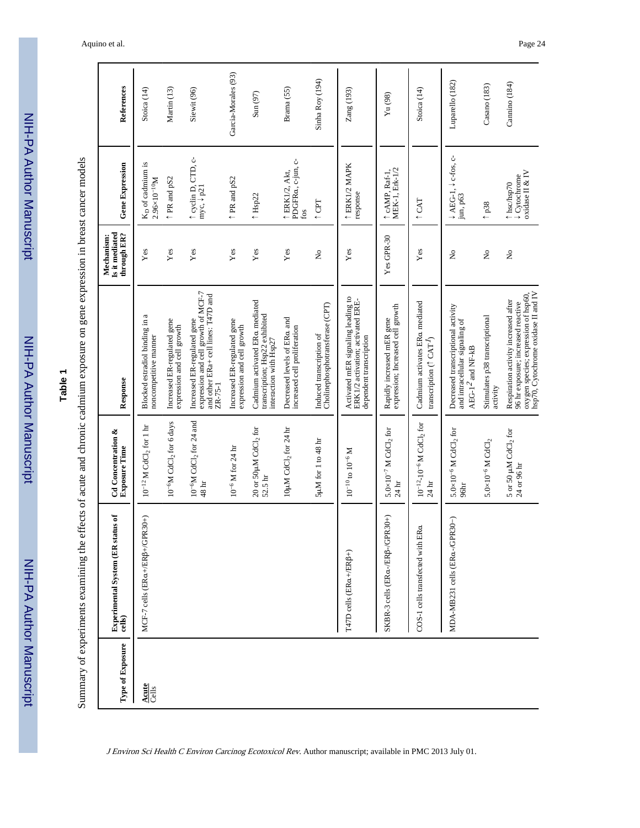| i         |
|-----------|
|           |
|           |
|           |
|           |
|           |
|           |
|           |
|           |
|           |
|           |
| uthor     |
|           |
|           |
|           |
|           |
|           |
|           |
|           |
|           |
|           |
|           |
|           |
|           |
|           |
| $-201101$ |
|           |
|           |
|           |
|           |
|           |
|           |
|           |

| .<br>.<br>.<br>.<br>. |  |
|-----------------------|--|
|                       |  |
| $\ddot{\bm{s}}$       |  |
| <b>ANTILL</b>         |  |
|                       |  |
|                       |  |
|                       |  |
|                       |  |
|                       |  |
|                       |  |

| Table |  |  |
|-------|--|--|
|       |  |  |
|       |  |  |
|       |  |  |

Summary of experiments examining the effects of acute and chronic cadmium exposure on gene expression in breast cancer models Summary of experiments examining the effects of acute and chronic cadmium exposure on gene expression in breast cancer models

| Type of Exposure                    | Experimental System (ER status of<br>cells) | Cd Concentration &<br><b>Exposure Time</b>                                   | Response                                                                                                                                                  | Is it mediated<br>through ER?<br>Mechanism: | <b>Gene Expression</b>                                    | References          |
|-------------------------------------|---------------------------------------------|------------------------------------------------------------------------------|-----------------------------------------------------------------------------------------------------------------------------------------------------------|---------------------------------------------|-----------------------------------------------------------|---------------------|
| $\frac{\text{Acute}}{\text{Cells}}$ | MCF-7 cells (ERa+/ERB+/GPR30+)              | $10^{-12}$ M CdCl <sub>2</sub> for 1 hr                                      | Blocked estradiol binding in a<br>noncompetitive manner                                                                                                   | Yes                                         | K <sub>D</sub> of cadmium is<br>$2.96 \times 10^{-10} M$  | Stoica (14)         |
|                                     |                                             | 10 <sup>-6</sup> M CdCl <sub>2</sub> for 6 days                              | Increased ER-regulated gene<br>expression and cell growth                                                                                                 | Yes                                         | ↑PR and pS2                                               | Martin (13)         |
|                                     |                                             | $10^{-6}$ M CdCl <sub>2</sub> for 24 and<br>$48\,\mathrm{hr}$                | expression and cell growth of MCF-7<br>and other ERa+ cell lines: T47D and<br>Increased ER-regulated gene<br>ZR-75-1                                      | Yes                                         | $\uparrow$ cyclin D, CTD, c-<br>myc, $\downarrow$ p21     | Siewit (96)         |
|                                     |                                             | $10^{-6}$ M for 24 hr                                                        | Increased ER-regulated gene<br>expression and cell growth                                                                                                 | Yes                                         | ↑PR and pS2                                               | Garcia-Morales (93) |
|                                     |                                             | 20 or 50µM CdCl2 for<br>$52.5\,\mathrm{hr}$                                  | Cadmium activated ERa mediated<br>transcription; Hsp22 exhibited<br>interaction with Hsp27                                                                | Yes                                         | ↑Hsp22                                                    | Sum(97)             |
|                                     |                                             | 10µM CdCl <sub>2</sub> for 24 hr                                             | Decreased levels of ERa and<br>increased cell proliferation                                                                                               | Yes                                         | PDGFRa, c-jun, c-<br>↑ERK1/2, Akt,<br>fos                 | Brama (55)          |
|                                     |                                             | 5µM for 1 to 48 hr                                                           | Cholinephosphotransferase (CPT)<br>Induced transcription of                                                                                               | $\stackrel{\circ}{\phantom{}_{\sim}}$       | $\uparrow$ CPT                                            | Sinha Roy (194)     |
|                                     | T47D cells (ERa+/ERβ+)                      | $10^{-10}$ to $10^{-6}$ M                                                    | Activated mER signaling leading to $\rm ERK1/2$ activation; activated $\rm ERE-$<br>dependent transcription                                               | Yes                                         | TERK1/2 MAPK<br>response                                  | Zang (193)          |
|                                     | SKBR-3 cells (ERa-/ERß-/GPR30+)             | $5.0\times10^{-7}$ M CdCl <sub>2</sub> for<br>$24\,\mathrm{hr}$              | expression; Increased cell growth<br>Rapidly increased mER gene                                                                                           | Yes GPR-30                                  | MEK-1, Erk-1/2<br>↑cAMP, Raf-1,                           | Yu (98)             |
|                                     | ರ<br>COS-1 cells transfected with ER        | $10^{-12}\mbox{-}10^{-6}\,\mbox{M}\, \mbox{CdCl}_2$ for<br>$24\,\mathrm{hr}$ | Cadmium activates ERa mediated<br>transcription ( $\uparrow$ CAT <sup>1</sup> )                                                                           | Yes                                         | ↑CAT                                                      | Stoica (14)         |
|                                     | MDA-MB231 cells (ERa-/GPR30-)               | $5.0\times10^{-6}$ M CdCl <sub>2</sub> for<br>96hr                           | Decreased transcriptional activity<br>and intracellular signaling of<br>AEG-1 <sup>2</sup> and NF-kB                                                      | $\tilde{z}$                                 | $\downarrow$ AEG-1, $\downarrow$ c-fos, c-<br>jun, p63    | Luparello (182)     |
|                                     |                                             | $5.0\times10^{-6}$ M CdCl <sub>2</sub>                                       | Stimulates p38 transcriptional<br>activity                                                                                                                | $\tilde{z}$                                 | 86d                                                       | Casano (183)        |
|                                     |                                             | 5 or 50 µM CdCl <sub>2</sub> for<br>24 or 96 hr                              | oxygen species; expression of hsp60,<br>hsp70, Cytochrome oxidase II and IV<br>Respiration activity increased after<br>96 hr exposure; increased reactive | $\tilde{\mathbf{z}}$                        | oxidase II & IV<br>$\downarrow$ Cytochrome<br>↑ hsc/hsp70 | Cannino (184)       |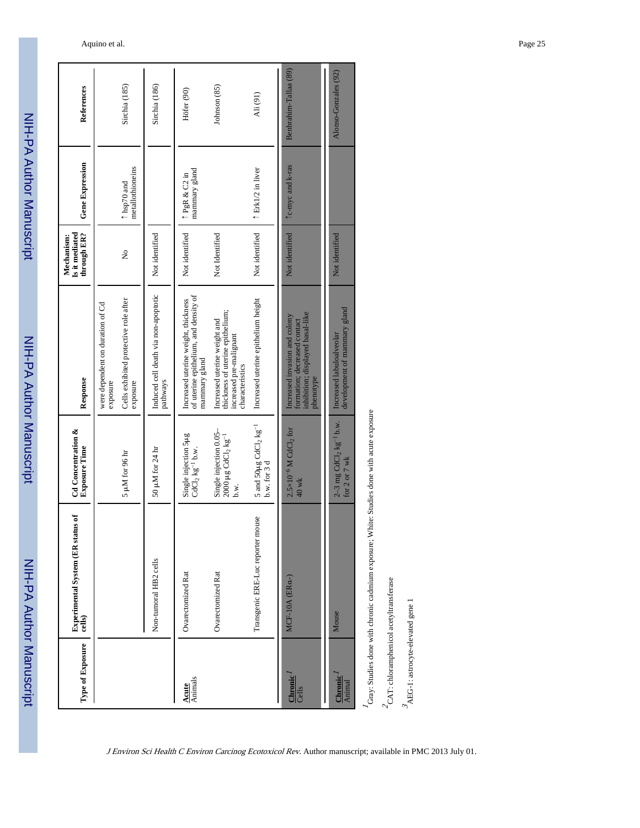NIH-PA Author ManuscriptNIH-PA Author Manuscript

NIH-PA Author Manuscript NIH-PA Author Manuscript

| Type of Exposure        | Experimental System (ER status of<br>cels                                                                                                                                                                                      | Cd Concentration &<br><b>Exposure Time</b>                                                                                                                                                                                              | Response                                                                                                       | Is it mediated<br>through ER?<br>Mechanism: | <b>Gene Expression</b>          | References            |
|-------------------------|--------------------------------------------------------------------------------------------------------------------------------------------------------------------------------------------------------------------------------|-----------------------------------------------------------------------------------------------------------------------------------------------------------------------------------------------------------------------------------------|----------------------------------------------------------------------------------------------------------------|---------------------------------------------|---------------------------------|-----------------------|
|                         |                                                                                                                                                                                                                                | $5~\upmu\textrm{M}$ for $96~\textrm{hr}$                                                                                                                                                                                                | Cells exhibited protective role after<br>were dependent on duration of Cd<br>exposure<br>exposure              | $\frac{1}{2}$                               | metallothioneins<br>↑ hsp70 and | Sirchia (185)         |
|                         | Non-tumoral HB2 cells                                                                                                                                                                                                          | 50 $\mu$ M for 24 hr                                                                                                                                                                                                                    | Induced cell death via non-apoptotic<br>pathways                                                               | Not identified                              |                                 | Sirchia (186)         |
| Acute<br>Animals        | Ovarectomized Rat                                                                                                                                                                                                              | Single injection 5µg<br>$CdCl2 kg-1 b.w.$                                                                                                                                                                                               | of uterine epithelium, and density of<br>Increased uterine weight, thickness<br>mammary gland                  | Not identified                              | mammary gland<br>↑ PgR & C2 in  | Höfer <sub>(90)</sub> |
|                         | Ovarectomized Rat                                                                                                                                                                                                              | Single injection $0.05-2000 \mu$ g CdCl <sub>2</sub> kg <sup>-1</sup><br>b.w.                                                                                                                                                           | thickness of uterine epithelium;<br>Increased uterine weight and<br>increased pre-malignant<br>characteristics | Not Identified                              |                                 | Johnson (85)          |
|                         | Transgenic ERE-Luc reporter mouse                                                                                                                                                                                              | 5 and 50 $\mu$ g CdCl <sub>2</sub> $\text{kg}^{-1}$<br>b.w. for 3 d                                                                                                                                                                     | Increased uterine epithelium height                                                                            | Not identified                              | ↑ Erk1/2 in liver               | Ali (91)              |
| <b>Chronic</b><br>Cells | MCF-10A (ERa-)                                                                                                                                                                                                                 | $2.5\times10^{-6}$ M CdCl <sub>2</sub> for<br>40 wk                                                                                                                                                                                     | inhibition; displayed basal-like<br>Increased invasion and colony<br>formation; decreased contact<br>phenotype | Not identified                              | <b>Tc-myc and k-ras</b>         | Benbrahim-Tallaa (89) |
| Chronic<br>Animal       | Mouse                                                                                                                                                                                                                          | $2-3$ mg CdCl <sub>2</sub> $kg^{-1}$ b.w.<br>for $2$ or $7$ wk                                                                                                                                                                          | development of mammary gland<br>Increased labuloalveolar                                                       | Not identified                              |                                 | Alonso-Gonzales (92)  |
|                         | Chairman Chandian and a shall a shall be a completed with the second second second second second second second second second second second second second second second second second second second second second second second | . With $\lambda_{\rm max}$ . Can discuss the second second second second second second second second second second second second second second second second second second second second second second second second second second seco |                                                                                                                |                                             |                                 |                       |

Gray: Studies done with chronic cadmium exposure; White: Studies done with acute exposure Gray: Studies done with chronic cadmium exposure; White: Studies done with acute exposure

J Environ Sci Health C Environ Carcinog Ecotoxicol Rev. Author manuscript; available in PMC 2013 July 01.

 $^2$  CAT: chloramphenicol acetyl<br>transferase CAT: chloramphenicol acetyltransferase

 $\ensuremath{\mathcal{I}}\xspace_{\text{AEG-1}: \text{ astroyte-elevated gene 1}}$ AEG-1: astrocyte-elevated gene 1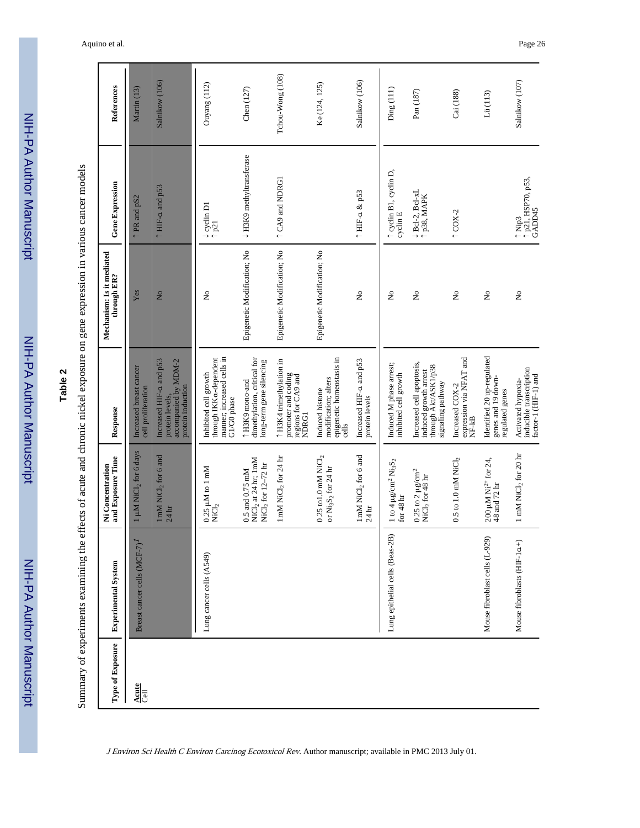| ייו וי       |
|--------------|
|              |
|              |
|              |
| ;<br>(       |
|              |
| i            |
|              |
|              |
| <b>CONTR</b> |
|              |
|              |
|              |

| <b>Service</b> |
|----------------|
|                |
|                |
|                |
|                |
|                |
|                |
|                |
| j              |
|                |
|                |
| ļ              |
|                |
| ì              |
|                |
|                |
|                |
|                |
|                |
|                |

**Table 2**

| J<br>l<br>こうち ちょく うくく こうこく<br>$\frac{1}{2}$                                                                                                                                                                                                                                                                                                                                                                                                                           |
|-----------------------------------------------------------------------------------------------------------------------------------------------------------------------------------------------------------------------------------------------------------------------------------------------------------------------------------------------------------------------------------------------------------------------------------------------------------------------|
|                                                                                                                                                                                                                                                                                                                                                                                                                                                                       |
| きんこう きっこう くっくくちきゅうしゃく くちくと きんく くちょうくく<br>.<br>.<br>.<br>.<br>.<br>l<br>֕                                                                                                                                                                                                                                                                                                                                                                                              |
| $25.0$ $\mu$ $\sim$ $1.0$<br>l                                                                                                                                                                                                                                                                                                                                                                                                                                        |
|                                                                                                                                                                                                                                                                                                                                                                                                                                                                       |
|                                                                                                                                                                                                                                                                                                                                                                                                                                                                       |
| <b>.</b><br>.<br>.<br>$\overline{\phantom{a}}$                                                                                                                                                                                                                                                                                                                                                                                                                        |
| S                                                                                                                                                                                                                                                                                                                                                                                                                                                                     |
| <b>The contract of the contract of the contract of the contract of the contract of the contract of the contract of the contract of the contract of the contract of the contract of the contract of the contract of the contract </b><br>is a state of the contract of the contract of the contract of the contract of the contract of the contract of the contract of the contract of the contract of the contract of the contract of the contract of the contract of |
|                                                                                                                                                                                                                                                                                                                                                                                                                                                                       |
| $\frac{2}{3}$                                                                                                                                                                                                                                                                                                                                                                                                                                                         |
|                                                                                                                                                                                                                                                                                                                                                                                                                                                                       |
| ֖֖֖֖֖֧֖֧֖֖֧֖֧֪֪֪֪֪֪֧֖֚֚֚֚֚֚֚֚֚֚֚֚֚֚֚֚֚֚֚֚֚֚֚֚֚֚֚֚֚֬֝֝֝֓֞֝֓֞                                                                                                                                                                                                                                                                                                                                                                                                           |
| mmante avami<br>:<br>ļ                                                                                                                                                                                                                                                                                                                                                                                                                                                |
| ļ                                                                                                                                                                                                                                                                                                                                                                                                                                                                     |

| Type of Exposure     | <b>Experimental System</b>      | and Exposure Time<br>Ni Concentration                                                | Response                                                                                        | Mechanism: Is it mediated<br>through ER? | <b>Gene Expression</b>                    | References       |
|----------------------|---------------------------------|--------------------------------------------------------------------------------------|-------------------------------------------------------------------------------------------------|------------------------------------------|-------------------------------------------|------------------|
| <b>Acute</b><br>Cell | Breast cancer cells (MCF-7)-    | 1 µM NiCl <sub>2</sub> for 6 days                                                    | Increased breast cancer<br>cell proliferation                                                   | Yes                                      | ↑ PR and pS2                              | Martin (13)      |
|                      |                                 | 1mM NiCl <sub>2</sub> for 6 and<br>$24 \text{ hr}$                                   | Increased HIF-a and p53<br>accompanied by MDM-2<br>protein induction<br>protein levels,         | $\overline{a}$                           | THIF-a and p53                            | Salnikow (106)   |
|                      | Lung cancer cells (A549)        | $0.25 \mu M$ to 1 mM<br>NiCl <sub>2</sub>                                            | manner; increased cells in<br>through IKKa-dependent<br>Inhibited cell growth<br>G1/G0 phase    | $\frac{1}{2}$                            | $\frac{1}{1}$ cyclin D1                   | Ouyang (112)     |
|                      |                                 | $NiCl2$ at 24 hr; 1mM<br>NiCl <sub>2</sub> for 12-72 hr<br>0.5 and 0.75 mM           | dimethylation, critical for<br>long-term gene silencing<br>↑H3K9 mono-and                       | Epigenetic Modification; No              | ↓H3K9 methyltransferase                   | Chen (127)       |
|                      |                                 | 1mM NiCl <sub>2</sub> for 24 hr                                                      | ↑ H3K4 trimethylation in<br>promoter and coding<br>regions for CA9 and<br>NDRG1                 | Epigenetic Modification; No              | ↑ CA9 and NDRG1                           | Tchou-Wong (108) |
|                      |                                 | $0.25$ to<br>1.0 mM $\mathrm{NiCl}_2$<br>or $\mathrm{Ni}_3\mathrm{S}_2$ for 24 hr    | epigenetic homeostasis in<br>modification; alters<br>Induced histone<br>cells                   | Epigenetic Modification; No              |                                           | Ke (124, 125)    |
|                      |                                 | 1mM NiCl <sub>2</sub> for 6 and<br>$24\,\mathrm{hr}$                                 | Increased HIF-a and p53<br>protein levels                                                       | $\overline{a}$                           | ↑HIF-a & p53                              | Salnikow (106)   |
|                      | Lung epithelial cells (Beas-2B) | 1 to 4 $\mu$ g/cm <sup>2</sup> Ni <sub>3</sub> S <sub>2</sub><br>for $48 \text{ hr}$ | Induced M phase arrest;<br>inhibited cell growth                                                | $\tilde{z}$                              | ↑ cyclin B1, cyclin D,<br>cyclin $E$      | Ding (111)       |
|                      |                                 | $0.25$ to $2 \mu\text{g/cm}^2$ NiCl <sub>2</sub> for 48 hr                           | Increased cell apoptosis,<br>induced growth arrest<br>through Akt/ASK1/p38<br>signaling pathway | $\mathsf{\hat{z}}$                       | $\downarrow$ Bcl-2, Bcl-xL<br>^ p38, MAPK | Pan (187)        |
|                      |                                 | $0.5$ to $1.0$ mM $\mathrm{Ni}\,\mathrm{Cl}_2$                                       | expression via NFAT and<br>NF-kB<br>Increased COX-2                                             | $\overline{\mathsf{x}}$                  | $\uparrow$ COX-2                          | Cai (188)        |
|                      | Mouse fibroblast cells (L-929)  | 200 µM Ni <sup>2+</sup> for 24,<br>48 and 72 hr                                      | Identified 20 up-regulated<br>genes and 19 down-<br>regulated genes                             | $\mathsf{S}^{\mathsf{o}}$                |                                           | Lü(113)          |
|                      | Mouse fibroblasts (HIF-1a+)     | 1 mM NiCl <sub>2</sub> for 20 hr                                                     | inducible transcription<br>factor-1 (HIF-1) and<br>Activated hypoxia-                           | $\stackrel{\circ}{\mathbf{z}}$           | ↑Nip3<br>↑p21, HSP70, p53,<br>GADD45      | Salnikow (107)   |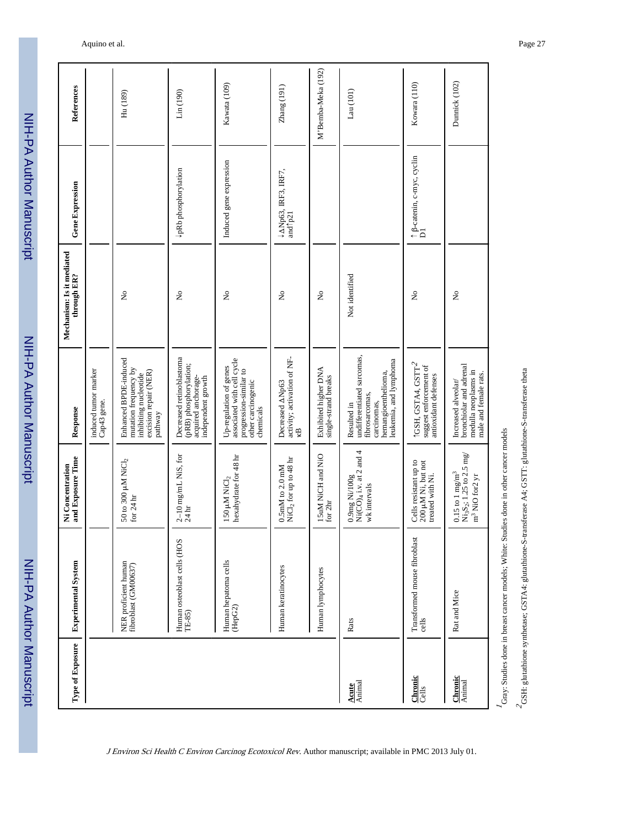| <b>Auther</b> |
|---------------|
|               |
|               |
|               |
|               |
|               |
|               |
|               |
|               |
|               |
|               |
|               |
| ה<br>המהות    |
|               |
|               |
|               |
|               |

NIH-PA Author Manuscript

NIH-PA Author Manuscript

|                  |                                              | Ni Concentration                                                        |                                                                                                                             | Mechanism: Is it mediated      |                                                    |                    |
|------------------|----------------------------------------------|-------------------------------------------------------------------------|-----------------------------------------------------------------------------------------------------------------------------|--------------------------------|----------------------------------------------------|--------------------|
| Type of Exposure | <b>Experimental System</b>                   | and Exposure Time                                                       | induced tumor marker<br>Cap43 gene.<br>Response                                                                             | through ER?                    | <b>Gene Expression</b>                             | References         |
|                  | NER proficient human<br>fibroblast (GM00637) | 50 to 300 $\mu$ M NiCl <sub>2</sub><br>for $24 \text{ hr}$              | Enhanced BPDE-induced<br>mutation frequency by<br>excision repair (NER)<br>inhibiting nucleotide<br>pathway                 | $\frac{1}{2}$                  |                                                    | Hu (189)           |
|                  | Human osteoblast cells (HOS<br>TE-85)        | $2-10$ mg/mL NiS, for<br>24 hr                                          | Decreased retinoblastoma<br>(pRB) phosphorylation;<br>independent growth<br>acquired anchorage-                             | $\stackrel{\circ}{\mathbf{z}}$ | pRb phosphorylation                                | Lin (190)          |
|                  | Human hepatoma cells<br>(HepG2)              | hexahydrate for 48 hr<br>150 µM NiCl <sub>2</sub>                       | associated with cell cycle<br>Up-regulation of genes<br>progression-similar to<br>other carcinogenic<br>chemicals           | $\tilde{z}$                    | Induced gene expression                            | Kawata (109)       |
|                  | Human keratinocytes                          | NiCl <sub>2</sub> for up to 48 hr<br>$0.5 \text{mM}$ to $2.0 \text{mM}$ | activity; activation of NF- $_{\rm \kappa B}$<br>Decreased ANp63                                                            | $\tilde{z}$                    | ↓∆Np63, IRF3, IRF7,<br>and↑p21                     | Zhang (191)        |
|                  | Human lymphocytes                            | 15uM NiCH and NiO<br>for 2hr                                            | Exhibited higher DNA<br>single-strand breaks                                                                                | $\mathsf{\hat{z}}$             |                                                    | M'Bemba-Meka (192) |
| Animal<br>Acute  | Rats                                         | $Ni(CO)4 i.v.$ at 2 and 4<br>0.9mg Ni/100g<br>wk intervals              | undifferentiated sarcomas,<br>leukemia, and lymphoma<br>hemangioenthelioma,<br>fibrosarcomas,<br>carcinomas,<br>Resulted in | Not identified                 |                                                    | Lau $(101)$        |
| Chronic<br>Cells | Transformed mouse fibroblast<br>cells        | Cells resistant up to<br>200 µM Ni, but not<br>treated with Ni.         | TGSH, GSTA4, GSTT <sup>2</sup><br>suggest enforcement of<br>antioxidant defenses                                            | $\stackrel{\circ}{\mathbf{Z}}$ | $\uparrow$ $\upbeta$ -catenin, c-myc, cyclin<br>D1 | Kowara (110)       |

Gray: Studies done in breast cancer models; White: Studies done in other cancer models Gray: Studies done in breast cancer models; White: Studies done in other cancer models

J Environ Sci Health C Environ Carcinog Ecotoxicol Rev. Author manuscript; available in PMC 2013 July 01.

**Chronic** Animal

Rat and Mice  $0.15 \text{ to } 1 \text{ mg/m}^3$ 

Rat and Mice

 $Ni_3S_2$ ; 1.25 to 2.5 mg/ m3 NiO for2 yr

0.15 to 1 mg/m<sup>3</sup><br>Ni<sub>3</sub>S<sub>2</sub>; 1.25 to 2.5 mg/<br>m<sup>3</sup> NiO for2 yr

Increased alveolar/ bronchiolar and adrenal medulla neoplasms in male and female rats.

 $\begin{array}{l} \text{Increased alveolar} \\ \text{bronchiodar and adrenal} \\ \text{medium neoplasms in} \\ \text{male and female rats.} \end{array}$ 

No Dunnick (102)

 $\overline{\mathsf{S}}$ 

Dunnick (102)

 $^{2}$ GSH: glutathione synthetase; GSTA4: glutathione-S-transferase A4; GSTT: glutathione-S-transferase theta GSH: glutathione synthetase; GSTA4: glutathione-S-transferase A4; GSTT: glutathione-S-transferase theta

Aquino et al. Page 27